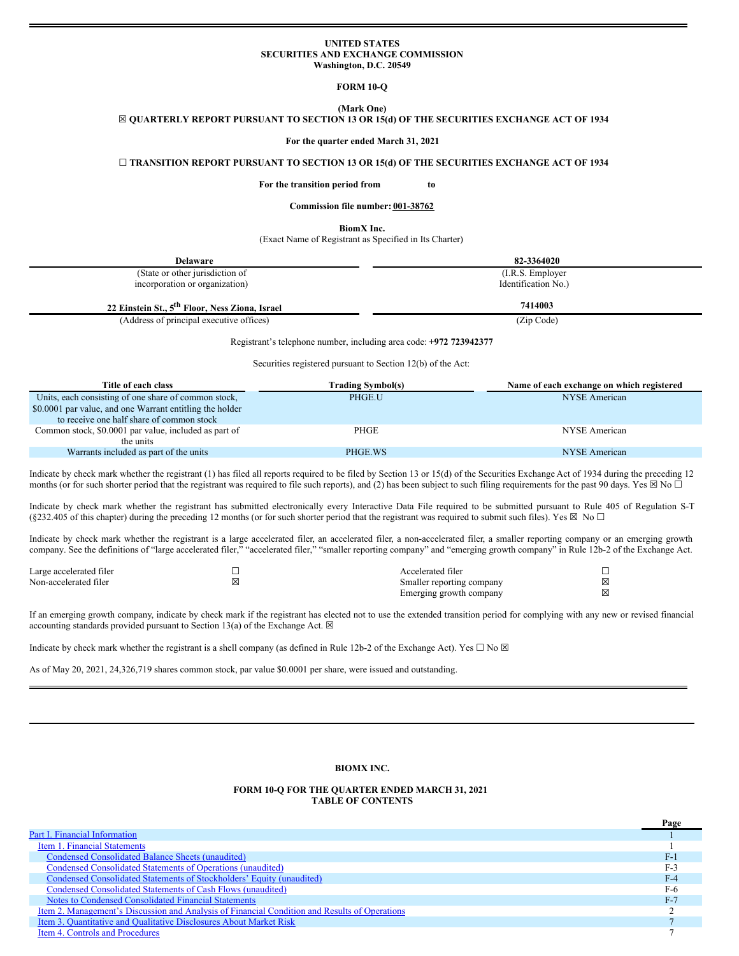#### **UNITED STATES SECURITIES AND EXCHANGE COMMISSION Washington, D.C. 20549**

**FORM 10-Q**

**(Mark One)**

☒ **QUARTERLY REPORT PURSUANT TO SECTION 13 OR 15(d) OF THE SECURITIES EXCHANGE ACT OF 1934**

**For the quarter ended March 31, 2021**

☐ **TRANSITION REPORT PURSUANT TO SECTION 13 OR 15(d) OF THE SECURITIES EXCHANGE ACT OF 1934**

**For the transition period from to**

**Commission file number: 001-38762**

**BiomX Inc.**

(Exact Name of Registrant as Specified in Its Charter)

| <b>Delaware</b>                                            | 82-3364020          |
|------------------------------------------------------------|---------------------|
| (State or other jurisdiction of                            | (I.R.S. Employer)   |
| incorporation or organization)                             | Identification No.) |
| 22 Einstein St., 5 <sup>th</sup> Floor, Ness Ziona, Israel | 7414003             |
| (Address of principal executive offices)                   | (Zip Code)          |

Registrant's telephone number, including area code: **+972 723942377**

Securities registered pursuant to Section 12(b) of the Act:

| Title of each class                                      | Trading Symbol(s) | Name of each exchange on which registered |
|----------------------------------------------------------|-------------------|-------------------------------------------|
| Units, each consisting of one share of common stock,     | PHGE.U            | NYSE American                             |
| \$0,0001 par value, and one Warrant entitling the holder |                   |                                           |
| to receive one half share of common stock                |                   |                                           |
| Common stock, \$0.0001 par value, included as part of    | PHGE              | NYSE American                             |
| the units                                                |                   |                                           |
| Warrants included as part of the units                   | PHGE.WS           | NYSE American                             |

Indicate by check mark whether the registrant (1) has filed all reports required to be filed by Section 13 or 15(d) of the Securities Exchange Act of 1934 during the preceding 12 months (or for such shorter period that the registrant was required to file such reports), and (2) has been subject to such filing requirements for the past 90 days. Yes  $\boxtimes$  No  $\Box$ 

Indicate by check mark whether the registrant has submitted electronically every Interactive Data File required to be submitted pursuant to Rule 405 of Regulation S-T (§232.405 of this chapter) during the preceding 12 months (or for such shorter period that the registrant was required to submit such files). Yes  $\boxtimes$  No  $\Box$ 

Indicate by check mark whether the registrant is a large accelerated filer, an accelerated filer, a non-accelerated filer, a smaller reporting company or an emerging growth company. See the definitions of "large accelerated filer," "accelerated filer," "smaller reporting company" and "emerging growth company" in Rule 12b-2 of the Exchange Act.

| Large accelerated filer |    | Accelerated filer         |  |
|-------------------------|----|---------------------------|--|
| Non-accelerated filer   | ıх | Smaller reporting company |  |
|                         |    | Emerging growth company   |  |

If an emerging growth company, indicate by check mark if the registrant has elected not to use the extended transition period for complying with any new or revised financial accounting standards provided pursuant to Section 13(a) of the Exchange Act.  $\boxtimes$ 

Indicate by check mark whether the registrant is a shell company (as defined in Rule 12b-2 of the Exchange Act). Yes  $\Box$  No  $\boxtimes$ 

As of May 20, 2021, 24,326,719 shares common stock, par value \$0.0001 per share, were issued and outstanding.

## **BIOMX INC.**

#### **FORM 10-Q FOR THE QUARTER ENDED MARCH 31, 2021 TABLE OF CONTENTS**

| Part I. Financial Information                                                                 |       |
|-----------------------------------------------------------------------------------------------|-------|
| Item 1. Financial Statements                                                                  |       |
| <b>Condensed Consolidated Balance Sheets (unaudited)</b>                                      | $F-1$ |
| <b>Condensed Consolidated Statements of Operations (unaudited)</b>                            | F-3   |
| Condensed Consolidated Statements of Stockholders' Equity (unaudited)                         | $F-4$ |
| Condensed Consolidated Statements of Cash Flows (unaudited)                                   | F-6   |
| Notes to Condensed Consolidated Financial Statements                                          | $F-7$ |
| Item 2. Management's Discussion and Analysis of Financial Condition and Results of Operations |       |
| Item 3. Quantitative and Qualitative Disclosures About Market Risk                            |       |
| Item 4. Controls and Procedures                                                               |       |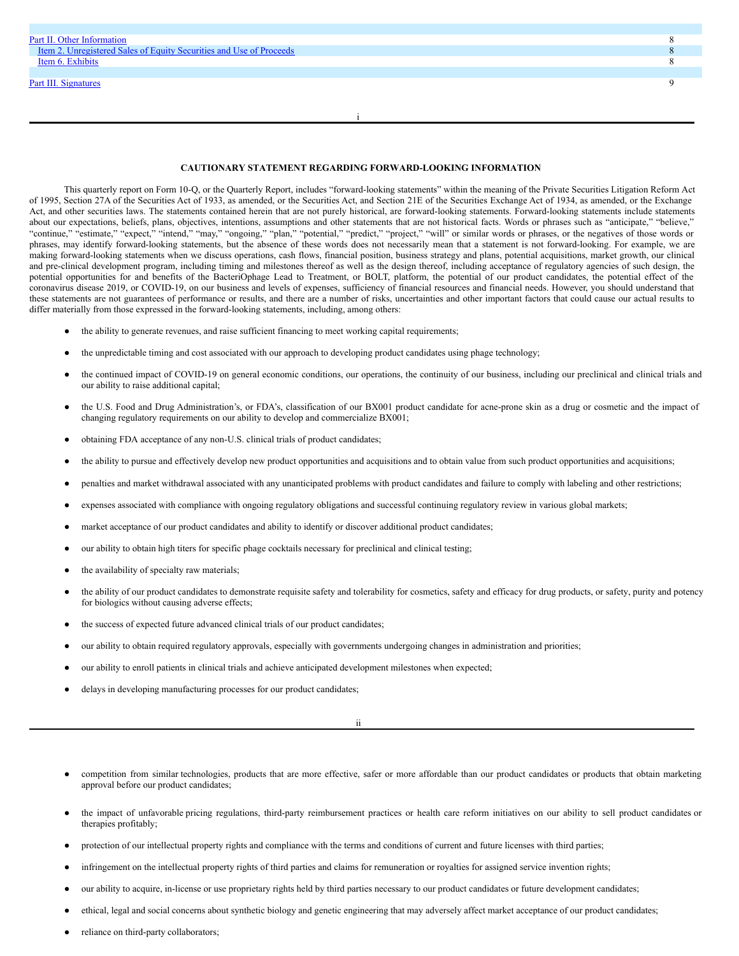| Part II. Other Information                                          |  |
|---------------------------------------------------------------------|--|
| Item 2. Unregistered Sales of Equity Securities and Use of Proceeds |  |
| Item 6. Exhibits                                                    |  |
|                                                                     |  |
| Part III. Signatures                                                |  |
|                                                                     |  |
|                                                                     |  |
|                                                                     |  |

# **CAUTIONARY STATEMENT REGARDING FORWARD-LOOKING INFORMATION**

This quarterly report on Form 10-Q, or the Quarterly Report, includes "forward-looking statements" within the meaning of the Private Securities Litigation Reform Act of 1995, Section 27A of the Securities Act of 1933, as amended, or the Securities Act, and Section 21E of the Securities Exchange Act of 1934, as amended, or the Exchange Act, and other securities laws. The statements contained herein that are not purely historical, are forward-looking statements. Forward-looking statements include statements about our expectations, beliefs, plans, objectives, intentions, assumptions and other statements that are not historical facts. Words or phrases such as "anticipate," "believe," "continue," "estimate," "expect," "intend," "may," "ongoing," "plan," "potential," "predict," "project," "will" or similar words or phrases, or the negatives of those words or phrases, may identify forward-looking statements, but the absence of these words does not necessarily mean that a statement is not forward-looking. For example, we are making forward-looking statements when we discuss operations, cash flows, financial position, business strategy and plans, potential acquisitions, market growth, our clinical and pre-clinical development program, including timing and milestones thereof as well as the design thereof, including acceptance of regulatory agencies of such design, the potential opportunities for and benefits of the BacteriOphage Lead to Treatment, or BOLT, platform, the potential of our product candidates, the potential effect of the coronavirus disease 2019, or COVID-19, on our business and levels of expenses, sufficiency of financial resources and financial needs. However, you should understand that these statements are not guarantees of performance or results, and there are a number of risks, uncertainties and other important factors that could cause our actual results to differ materially from those expressed in the forward-looking statements, including, among others:

- the ability to generate revenues, and raise sufficient financing to meet working capital requirements;
- the unpredictable timing and cost associated with our approach to developing product candidates using phage technology;
- the continued impact of COVID-19 on general economic conditions, our operations, the continuity of our business, including our preclinical and clinical trials and our ability to raise additional capital;
- the U.S. Food and Drug Administration's, or FDA's, classification of our BX001 product candidate for acne-prone skin as a drug or cosmetic and the impact of changing regulatory requirements on our ability to develop and commercialize BX001;
- obtaining FDA acceptance of any non-U.S. clinical trials of product candidates;
- the ability to pursue and effectively develop new product opportunities and acquisitions and to obtain value from such product opportunities and acquisitions;
- penalties and market withdrawal associated with any unanticipated problems with product candidates and failure to comply with labeling and other restrictions;
- expenses associated with compliance with ongoing regulatory obligations and successful continuing regulatory review in various global markets;
- market acceptance of our product candidates and ability to identify or discover additional product candidates;
- our ability to obtain high titers for specific phage cocktails necessary for preclinical and clinical testing;
- the availability of specialty raw materials;
- the ability of our product candidates to demonstrate requisite safety and tolerability for cosmetics, safety and efficacy for drug products, or safety, purity and potency for biologics without causing adverse effects;
- the success of expected future advanced clinical trials of our product candidates;
- our ability to obtain required regulatory approvals, especially with governments undergoing changes in administration and priorities;
- our ability to enroll patients in clinical trials and achieve anticipated development milestones when expected;
- delays in developing manufacturing processes for our product candidates;

ii

- competition from similar technologies, products that are more effective, safer or more affordable than our product candidates or products that obtain marketing approval before our product candidates;
- the impact of unfavorable pricing regulations, third-party reimbursement practices or health care reform initiatives on our ability to sell product candidates or therapies profitably;
- protection of our intellectual property rights and compliance with the terms and conditions of current and future licenses with third parties;
- infringement on the intellectual property rights of third parties and claims for remuneration or royalties for assigned service invention rights;
- our ability to acquire, in-license or use proprietary rights held by third parties necessary to our product candidates or future development candidates;
- ethical, legal and social concerns about synthetic biology and genetic engineering that may adversely affect market acceptance of our product candidates;
- reliance on third-party collaborators;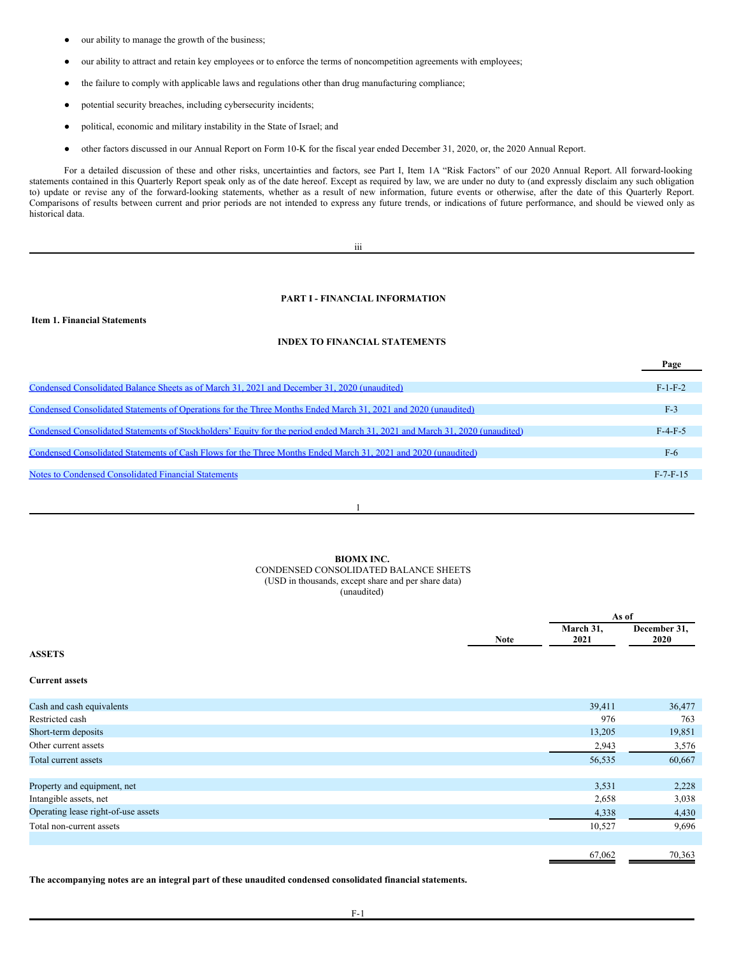- our ability to manage the growth of the business;
- our ability to attract and retain key employees or to enforce the terms of noncompetition agreements with employees;
- the failure to comply with applicable laws and regulations other than drug manufacturing compliance;
- potential security breaches, including cybersecurity incidents;
- political, economic and military instability in the State of Israel; and
- other factors discussed in our Annual Report on Form 10-K for the fiscal year ended December 31, 2020, or, the 2020 Annual Report.

For a detailed discussion of these and other risks, uncertainties and factors, see Part I, Item 1A "Risk Factors" of our 2020 Annual Report. All forward-looking statements contained in this Quarterly Report speak only as of the date hereof. Except as required by law, we are under no duty to (and expressly disclaim any such obligation to) update or revise any of the forward-looking statements, whether as a result of new information, future events or otherwise, after the date of this Quarterly Report. Comparisons of results between current and prior periods are not intended to express any future trends, or indications of future performance, and should be viewed only as historical data.

iii

# <span id="page-2-0"></span>**PART I - FINANCIAL INFORMATION**

# <span id="page-2-1"></span>**Item 1. Financial Statements**

# **INDEX TO FINANCIAL STATEMENTS**

|                                                                                                                              | Page       |
|------------------------------------------------------------------------------------------------------------------------------|------------|
|                                                                                                                              |            |
| Condensed Consolidated Balance Sheets as of March 31, 2021 and December 31, 2020 (unaudited)                                 | $F-1-F-2$  |
|                                                                                                                              |            |
| Condensed Consolidated Statements of Operations for the Three Months Ended March 31, 2021 and 2020 (unaudited)               | $F-3$      |
|                                                                                                                              |            |
| Condensed Consolidated Statements of Stockholders' Equity for the period ended March 31, 2021 and March 31, 2020 (unaudited) | $F-4-F-5$  |
|                                                                                                                              |            |
| Condensed Consolidated Statements of Cash Flows for the Three Months Ended March 31, 2021 and 2020 (unaudited)               | $F-6$      |
|                                                                                                                              |            |
| <b>Notes to Condensed Consolidated Financial Statements</b>                                                                  | $F-7-F-15$ |
|                                                                                                                              |            |
|                                                                                                                              |            |

## <span id="page-2-2"></span>**BIOMX INC.** CONDENSED CONSOLIDATED BALANCE SHEETS (USD in thousands, except share and per share data) (unaudited)

**As of**

1

| Note | March<br>2021 | --<br><b>December 31.</b><br>2020 |
|------|---------------|-----------------------------------|
|      |               |                                   |

#### **Current assets**

| Cash and cash equivalents           | 39,411 | 36,477 |
|-------------------------------------|--------|--------|
| Restricted cash                     | 976    | 763    |
| Short-term deposits                 | 13,205 | 19,851 |
| Other current assets                | 2,943  | 3,576  |
| Total current assets                | 56,535 | 60,667 |
|                                     |        |        |
| Property and equipment, net         | 3,531  | 2,228  |
| Intangible assets, net              | 2,658  | 3,038  |
| Operating lease right-of-use assets | 4,338  | 4,430  |
| Total non-current assets            | 10,527 | 9,696  |
|                                     |        |        |
|                                     | 67,062 | 70,363 |

**The accompanying notes are an integral part of these unaudited condensed consolidated financial statements.**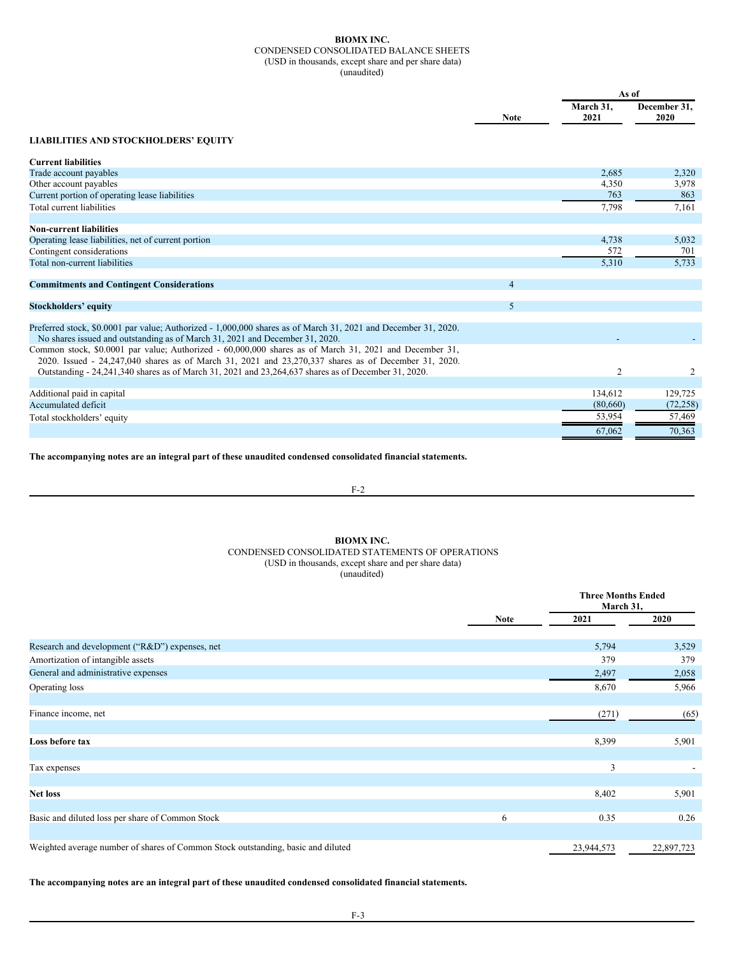## **BIOMX INC.** CONDENSED CONSOLIDATED BALANCE SHEETS (USD in thousands, except share and per share data) (unaudited)

|                                                                                                                                                                                                                                                                                                                           |                |                   | As of                |  |
|---------------------------------------------------------------------------------------------------------------------------------------------------------------------------------------------------------------------------------------------------------------------------------------------------------------------------|----------------|-------------------|----------------------|--|
|                                                                                                                                                                                                                                                                                                                           | <b>Note</b>    | March 31,<br>2021 | December 31,<br>2020 |  |
| <b>LIABILITIES AND STOCKHOLDERS' EQUITY</b>                                                                                                                                                                                                                                                                               |                |                   |                      |  |
| <b>Current liabilities</b>                                                                                                                                                                                                                                                                                                |                |                   |                      |  |
| Trade account payables                                                                                                                                                                                                                                                                                                    |                | 2.685             | 2,320                |  |
| Other account payables                                                                                                                                                                                                                                                                                                    |                | 4,350             | 3,978                |  |
| Current portion of operating lease liabilities                                                                                                                                                                                                                                                                            |                | 763               | 863                  |  |
| Total current liabilities                                                                                                                                                                                                                                                                                                 |                | 7,798             | 7,161                |  |
| <b>Non-current liabilities</b>                                                                                                                                                                                                                                                                                            |                |                   |                      |  |
| Operating lease liabilities, net of current portion                                                                                                                                                                                                                                                                       |                | 4,738             | 5,032                |  |
| Contingent considerations                                                                                                                                                                                                                                                                                                 |                | 572               | 701                  |  |
| Total non-current liabilities                                                                                                                                                                                                                                                                                             |                | 5,310             | 5,733                |  |
| <b>Commitments and Contingent Considerations</b>                                                                                                                                                                                                                                                                          | $\overline{4}$ |                   |                      |  |
| <b>Stockholders' equity</b>                                                                                                                                                                                                                                                                                               | 5              |                   |                      |  |
| Preferred stock, \$0.0001 par value; Authorized - 1,000,000 shares as of March 31, 2021 and December 31, 2020.<br>No shares issued and outstanding as of March 31, 2021 and December 31, 2020.                                                                                                                            |                |                   |                      |  |
| Common stock, \$0.0001 par value; Authorized - 60,000,000 shares as of March 31, 2021 and December 31,<br>2020. Issued - 24,247,040 shares as of March 31, 2021 and 23,270,337 shares as of December 31, 2020.<br>Outstanding - 24, 241, 340 shares as of March 31, 2021 and 23, 264, 637 shares as of December 31, 2020. |                | $\overline{c}$    | 2                    |  |
|                                                                                                                                                                                                                                                                                                                           |                |                   |                      |  |
| Additional paid in capital                                                                                                                                                                                                                                                                                                |                | 134,612           | 129,725              |  |
| Accumulated deficit                                                                                                                                                                                                                                                                                                       |                | (80,660)          | (72, 258)            |  |
| Total stockholders' equity                                                                                                                                                                                                                                                                                                |                | 53,954            | 57,469               |  |
|                                                                                                                                                                                                                                                                                                                           |                | 67,062            | 70,363               |  |
|                                                                                                                                                                                                                                                                                                                           |                |                   |                      |  |

**The accompanying notes are an integral part of these unaudited condensed consolidated financial statements.**

F-2

## **BIOMX INC.**

<span id="page-3-0"></span>CONDENSED CONSOLIDATED STATEMENTS OF OPERATIONS (USD in thousands, except share and per share data) (unaudited)

|                                                                                  |             | <b>Three Months Ended</b><br>March 31, |            |
|----------------------------------------------------------------------------------|-------------|----------------------------------------|------------|
|                                                                                  | <b>Note</b> | 2021                                   | 2020       |
| Research and development ("R&D") expenses, net                                   |             | 5,794                                  | 3,529      |
| Amortization of intangible assets                                                |             | 379                                    | 379        |
| General and administrative expenses                                              |             | 2,497                                  | 2,058      |
| Operating loss                                                                   |             | 8,670                                  | 5,966      |
| Finance income, net                                                              |             | (271)                                  | (65)       |
| Loss before tax                                                                  |             | 8,399                                  | 5,901      |
| Tax expenses                                                                     |             | 3                                      |            |
| <b>Net loss</b>                                                                  |             | 8,402                                  | 5,901      |
| Basic and diluted loss per share of Common Stock                                 | 6           | 0.35                                   | 0.26       |
| Weighted average number of shares of Common Stock outstanding, basic and diluted |             | 23,944,573                             | 22,897,723 |

**The accompanying notes are an integral part of these unaudited condensed consolidated financial statements.**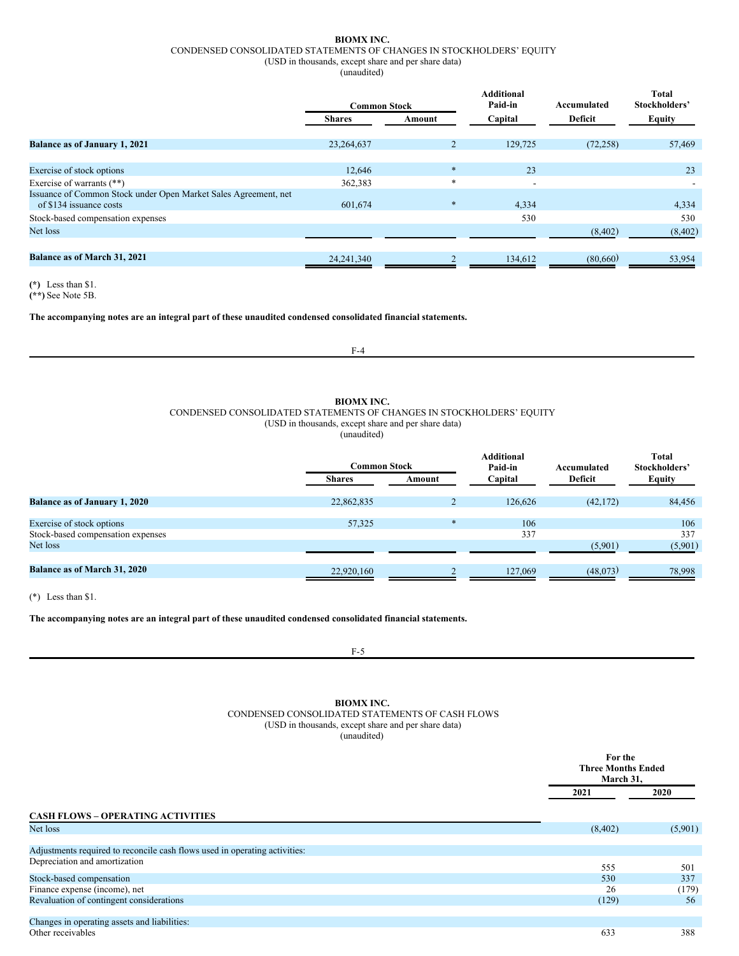# **BIOMX INC.**

<span id="page-4-0"></span>CONDENSED CONSOLIDATED STATEMENTS OF CHANGES IN STOCKHOLDERS' EQUITY (USD in thousands, except share and per share data)

(unaudited)

|                                                                 | <b>Common Stock</b> |                | <b>Additional</b><br>Paid-in | Accumulated | Total<br>Stockholders'   |
|-----------------------------------------------------------------|---------------------|----------------|------------------------------|-------------|--------------------------|
|                                                                 | <b>Shares</b>       | Amount         | Capital                      | Deficit     | Equity                   |
| <b>Balance as of January 1, 2021</b>                            | 23.264.637          | $\overline{2}$ | 129,725                      | (72, 258)   | 57,469                   |
| Exercise of stock options                                       | 12,646              | $\ast$         | 23                           |             | 23                       |
| Exercise of warrants $(**)$                                     | 362,383             | $\ast$         | $\overline{\phantom{a}}$     |             | $\overline{\phantom{a}}$ |
| Issuance of Common Stock under Open Market Sales Agreement, net |                     |                |                              |             |                          |
| of \$134 issuance costs                                         | 601,674             | $*$            | 4,334                        |             | 4,334                    |
| Stock-based compensation expenses                               |                     |                | 530                          |             | 530                      |
| Net loss                                                        |                     |                |                              | (8,402)     | (8,402)                  |
|                                                                 |                     |                |                              |             |                          |
| <b>Balance as of March 31, 2021</b>                             | 24, 241, 340        |                | 134,612                      | (80,660)    | 53,954                   |

**(\*)** Less than \$1.

**(\*\*)** See Note 5B.

**The accompanying notes are an integral part of these unaudited condensed consolidated financial statements.**

F-4

## **BIOMX INC.**

CONDENSED CONSOLIDATED STATEMENTS OF CHANGES IN STOCKHOLDERS' EQUITY

(USD in thousands, except share and per share data)

(unaudited)

|                                                                | <b>Common Stock</b> |        | <b>Additional</b><br>Paid-in | Accumulated | <b>Total</b><br>Stockholders' |
|----------------------------------------------------------------|---------------------|--------|------------------------------|-------------|-------------------------------|
|                                                                | <b>Shares</b>       | Amount | Capital                      | Deficit     | Equity                        |
| <b>Balance as of January 1, 2020</b>                           | 22,862,835          |        | 126,626                      | (42, 172)   | 84,456                        |
| Exercise of stock options<br>Stock-based compensation expenses | 57,325              | $*$    | 106<br>337                   |             | 106<br>337                    |
| Net loss                                                       |                     |        |                              | (5,901)     | (5,901)                       |
| <b>Balance as of March 31, 2020</b>                            | 22,920,160          |        | 127,069                      | (48,073)    | 78,998                        |

(\*) Less than \$1.

**The accompanying notes are an integral part of these unaudited condensed consolidated financial statements.**

F-5

#### <span id="page-4-1"></span>**BIOMX INC.** CONDENSED CONSOLIDATED STATEMENTS OF CASH FLOWS (USD in thousands, except share and per share data) (unaudited)

|                                                                            |         | For the<br><b>Three Months Ended</b><br>March 31, |  |
|----------------------------------------------------------------------------|---------|---------------------------------------------------|--|
|                                                                            | 2021    | 2020                                              |  |
| <b>CASH FLOWS - OPERATING ACTIVITIES</b>                                   |         |                                                   |  |
| Net loss                                                                   | (8,402) | (5,901)                                           |  |
|                                                                            |         |                                                   |  |
| Adjustments required to reconcile cash flows used in operating activities: |         |                                                   |  |
| Depreciation and amortization                                              | 555     | 501                                               |  |
| Stock-based compensation                                                   | 530     | 337                                               |  |
| Finance expense (income), net                                              | 26      | (179)                                             |  |
| Revaluation of contingent considerations                                   | (129)   | 56                                                |  |
|                                                                            |         |                                                   |  |
| Changes in operating assets and liabilities:                               |         |                                                   |  |
| Other receivables                                                          | 633     | 388                                               |  |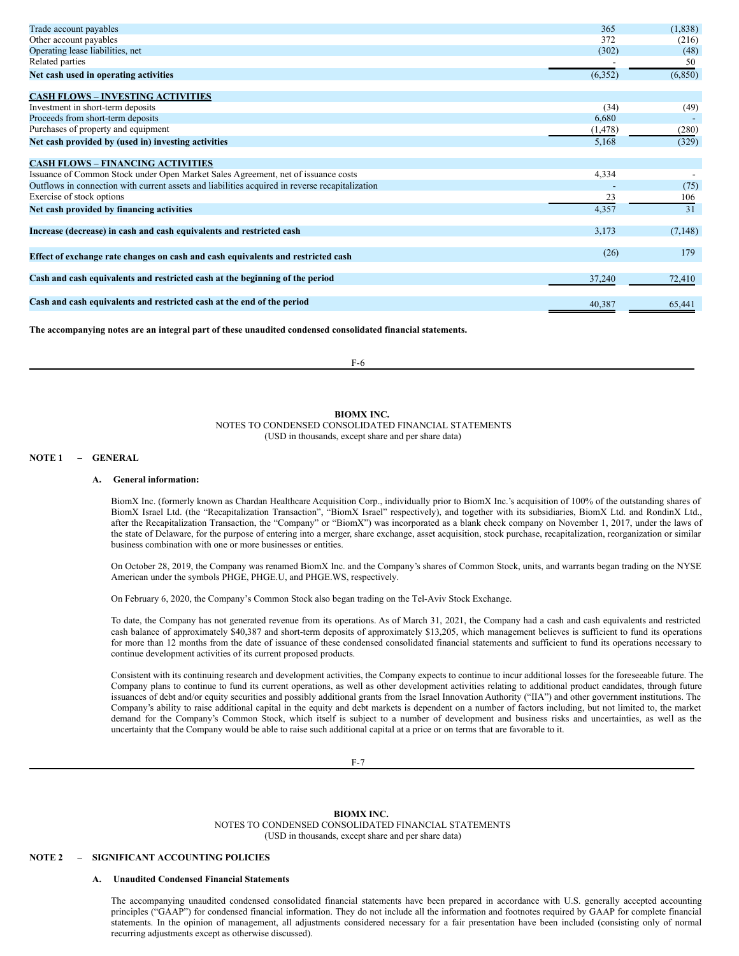| Trade account payables                                                                          | 365      | (1,838) |
|-------------------------------------------------------------------------------------------------|----------|---------|
| Other account payables                                                                          | 372      | (216)   |
| Operating lease liabilities, net                                                                | (302)    | (48)    |
| Related parties                                                                                 |          | 50      |
| Net cash used in operating activities                                                           | (6,352)  | (6,850) |
| <b>CASH FLOWS - INVESTING ACTIVITIES</b>                                                        |          |         |
| Investment in short-term deposits                                                               | (34)     | (49)    |
| Proceeds from short-term deposits                                                               | 6.680    |         |
| Purchases of property and equipment                                                             | (1, 478) | (280)   |
| Net cash provided by (used in) investing activities                                             | 5,168    | (329)   |
| <b>CASH FLOWS - FINANCING ACTIVITIES</b>                                                        |          |         |
| Issuance of Common Stock under Open Market Sales Agreement, net of issuance costs               | 4,334    |         |
| Outflows in connection with current assets and liabilities acquired in reverse recapitalization |          | (75)    |
| Exercise of stock options                                                                       | 23       | 106     |
| Net cash provided by financing activities                                                       | 4,357    | 31      |
| Increase (decrease) in cash and cash equivalents and restricted cash                            | 3,173    | (7,148) |
| Effect of exchange rate changes on cash and cash equivalents and restricted cash                | (26)     | 179     |
| Cash and cash equivalents and restricted cash at the beginning of the period                    | 37,240   | 72,410  |
| Cash and cash equivalents and restricted cash at the end of the period                          | 40,387   | 65,441  |
|                                                                                                 |          |         |

**The accompanying notes are an integral part of these unaudited condensed consolidated financial statements.**

F-6

#### **BIOMX INC.**

<span id="page-5-0"></span>NOTES TO CONDENSED CONSOLIDATED FINANCIAL STATEMENTS (USD in thousands, except share and per share data)

# **NOTE 1 – GENERAL**

#### **A. General information:**

BiomX Inc. (formerly known as Chardan Healthcare Acquisition Corp., individually prior to BiomX Inc.'s acquisition of 100% of the outstanding shares of BiomX Israel Ltd. (the "Recapitalization Transaction", "BiomX Israel" respectively), and together with its subsidiaries, BiomX Ltd. and RondinX Ltd., after the Recapitalization Transaction, the "Company" or "BiomX") was incorporated as a blank check company on November 1, 2017, under the laws of the state of Delaware, for the purpose of entering into a merger, share exchange, asset acquisition, stock purchase, recapitalization, reorganization or similar business combination with one or more businesses or entities.

On October 28, 2019, the Company was renamed BiomX Inc. and the Company's shares of Common Stock, units, and warrants began trading on the NYSE American under the symbols PHGE, PHGE.U, and PHGE.WS, respectively.

On February 6, 2020, the Company's Common Stock also began trading on the Tel-Aviv Stock Exchange.

To date, the Company has not generated revenue from its operations. As of March 31, 2021, the Company had a cash and cash equivalents and restricted cash balance of approximately \$40,387 and short-term deposits of approximately \$13,205, which management believes is sufficient to fund its operations for more than 12 months from the date of issuance of these condensed consolidated financial statements and sufficient to fund its operations necessary to continue development activities of its current proposed products.

Consistent with its continuing research and development activities, the Company expects to continue to incur additional losses for the foreseeable future. The Company plans to continue to fund its current operations, as well as other development activities relating to additional product candidates, through future issuances of debt and/or equity securities and possibly additional grants from the Israel Innovation Authority ("IIA") and other government institutions. The Company's ability to raise additional capital in the equity and debt markets is dependent on a number of factors including, but not limited to, the market demand for the Company's Common Stock, which itself is subject to a number of development and business risks and uncertainties, as well as the uncertainty that the Company would be able to raise such additional capital at a price or on terms that are favorable to it.

F-7

# **BIOMX INC.**

NOTES TO CONDENSED CONSOLIDATED FINANCIAL STATEMENTS (USD in thousands, except share and per share data)

# **NOTE 2 – SIGNIFICANT ACCOUNTING POLICIES**

#### **A. Unaudited Condensed Financial Statements**

The accompanying unaudited condensed consolidated financial statements have been prepared in accordance with U.S. generally accepted accounting principles ("GAAP") for condensed financial information. They do not include all the information and footnotes required by GAAP for complete financial statements. In the opinion of management, all adjustments considered necessary for a fair presentation have been included (consisting only of normal recurring adjustments except as otherwise discussed).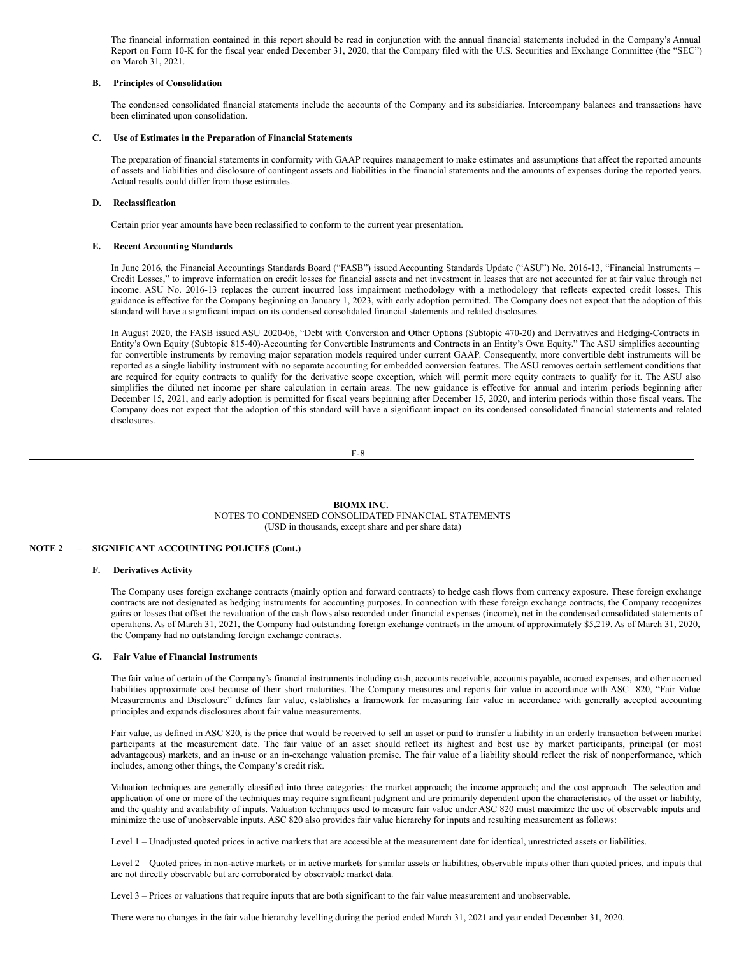The financial information contained in this report should be read in conjunction with the annual financial statements included in the Company's Annual Report on Form 10-K for the fiscal year ended December 31, 2020, that the Company filed with the U.S. Securities and Exchange Committee (the "SEC") on March 31, 2021.

#### **B. Principles of Consolidation**

The condensed consolidated financial statements include the accounts of the Company and its subsidiaries. Intercompany balances and transactions have been eliminated upon consolidation.

#### **C. Use of Estimates in the Preparation of Financial Statements**

The preparation of financial statements in conformity with GAAP requires management to make estimates and assumptions that affect the reported amounts of assets and liabilities and disclosure of contingent assets and liabilities in the financial statements and the amounts of expenses during the reported years. Actual results could differ from those estimates.

#### **D. Reclassification**

Certain prior year amounts have been reclassified to conform to the current year presentation.

#### **E. Recent Accounting Standards**

In June 2016, the Financial Accountings Standards Board ("FASB") issued Accounting Standards Update ("ASU") No. 2016-13, "Financial Instruments – Credit Losses," to improve information on credit losses for financial assets and net investment in leases that are not accounted for at fair value through net income. ASU No. 2016-13 replaces the current incurred loss impairment methodology with a methodology that reflects expected credit losses. This guidance is effective for the Company beginning on January 1, 2023, with early adoption permitted. The Company does not expect that the adoption of this standard will have a significant impact on its condensed consolidated financial statements and related disclosures.

In August 2020, the FASB issued ASU 2020-06, "Debt with Conversion and Other Options (Subtopic 470-20) and Derivatives and Hedging-Contracts in Entity's Own Equity (Subtopic 815-40)-Accounting for Convertible Instruments and Contracts in an Entity's Own Equity." The ASU simplifies accounting for convertible instruments by removing major separation models required under current GAAP. Consequently, more convertible debt instruments will be reported as a single liability instrument with no separate accounting for embedded conversion features. The ASU removes certain settlement conditions that are required for equity contracts to qualify for the derivative scope exception, which will permit more equity contracts to qualify for it. The ASU also simplifies the diluted net income per share calculation in certain areas. The new guidance is effective for annual and interim periods beginning after December 15, 2021, and early adoption is permitted for fiscal years beginning after December 15, 2020, and interim periods within those fiscal years. The Company does not expect that the adoption of this standard will have a significant impact on its condensed consolidated financial statements and related disclosures.

$$
F-8
$$

#### **BIOMX INC.** NOTES TO CONDENSED CONSOLIDATED FINANCIAL STATEMENTS (USD in thousands, except share and per share data)

#### **NOTE 2 – SIGNIFICANT ACCOUNTING POLICIES (Cont.)**

#### **F. Derivatives Activity**

The Company uses foreign exchange contracts (mainly option and forward contracts) to hedge cash flows from currency exposure. These foreign exchange contracts are not designated as hedging instruments for accounting purposes. In connection with these foreign exchange contracts, the Company recognizes gains or losses that offset the revaluation of the cash flows also recorded under financial expenses (income), net in the condensed consolidated statements of operations. As of March 31, 2021, the Company had outstanding foreign exchange contracts in the amount of approximately \$5,219. As of March 31, 2020, the Company had no outstanding foreign exchange contracts.

#### **G. Fair Value of Financial Instruments**

The fair value of certain of the Company's financial instruments including cash, accounts receivable, accounts payable, accrued expenses, and other accrued liabilities approximate cost because of their short maturities. The Company measures and reports fair value in accordance with ASC 820, "Fair Value Measurements and Disclosure" defines fair value, establishes a framework for measuring fair value in accordance with generally accepted accounting principles and expands disclosures about fair value measurements.

Fair value, as defined in ASC 820, is the price that would be received to sell an asset or paid to transfer a liability in an orderly transaction between market participants at the measurement date. The fair value of an asset should reflect its highest and best use by market participants, principal (or most advantageous) markets, and an in-use or an in-exchange valuation premise. The fair value of a liability should reflect the risk of nonperformance, which includes, among other things, the Company's credit risk.

Valuation techniques are generally classified into three categories: the market approach; the income approach; and the cost approach. The selection and application of one or more of the techniques may require significant judgment and are primarily dependent upon the characteristics of the asset or liability, and the quality and availability of inputs. Valuation techniques used to measure fair value under ASC 820 must maximize the use of observable inputs and minimize the use of unobservable inputs. ASC 820 also provides fair value hierarchy for inputs and resulting measurement as follows:

Level 1 – Unadjusted quoted prices in active markets that are accessible at the measurement date for identical, unrestricted assets or liabilities.

Level 2 – Quoted prices in non-active markets or in active markets for similar assets or liabilities, observable inputs other than quoted prices, and inputs that are not directly observable but are corroborated by observable market data.

Level 3 – Prices or valuations that require inputs that are both significant to the fair value measurement and unobservable.

There were no changes in the fair value hierarchy levelling during the period ended March 31, 2021 and year ended December 31, 2020.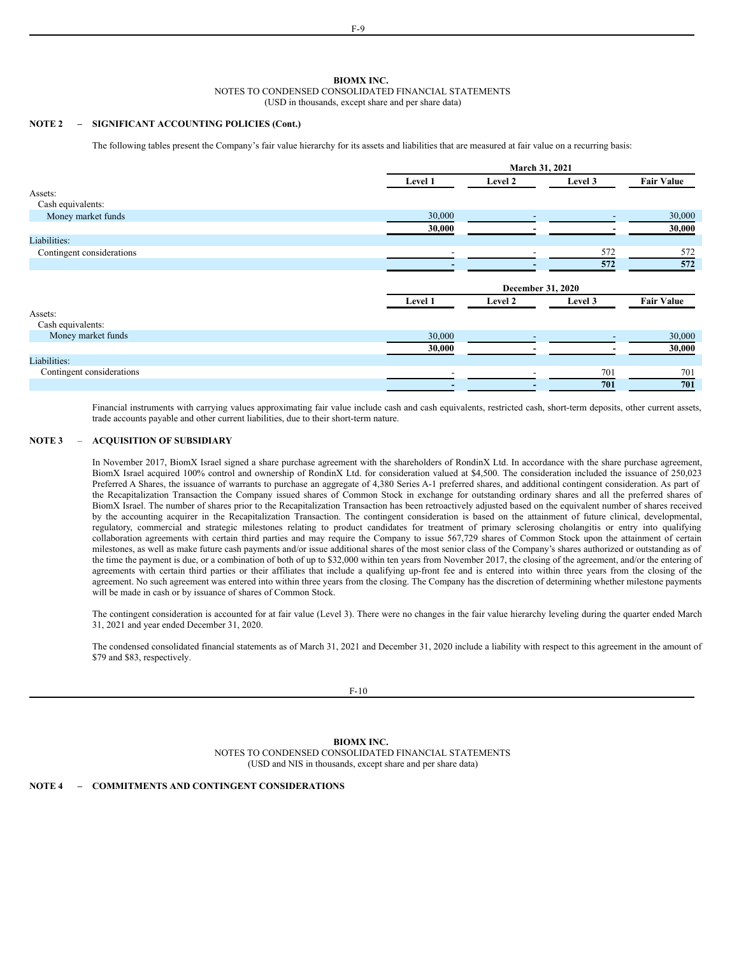# **BIOMX INC.**

## NOTES TO CONDENSED CONSOLIDATED FINANCIAL STATEMENTS (USD in thousands, except share and per share data)

## **NOTE 2 – SIGNIFICANT ACCOUNTING POLICIES (Cont.)**

#### The following tables present the Company's fair value hierarchy for its assets and liabilities that are measured at fair value on a recurring basis:

|                           |                          | March 31, 2021           |         |                   |
|---------------------------|--------------------------|--------------------------|---------|-------------------|
|                           | Level 1                  | Level 2                  | Level 3 | <b>Fair Value</b> |
| Assets:                   |                          |                          |         |                   |
| Cash equivalents:         |                          |                          |         |                   |
| Money market funds        | 30,000                   | $\overline{\phantom{a}}$ |         | 30,000            |
|                           | 30,000                   |                          |         | 30,000            |
| Liabilities:              |                          |                          |         |                   |
| Contingent considerations | $\overline{\phantom{a}}$ | $\overline{\phantom{a}}$ | 572     | 572               |
|                           |                          |                          | 572     | 572               |
|                           |                          | December 31, 2020        |         |                   |
|                           | Level 1                  | Level 2                  | Level 3 | <b>Fair Value</b> |
| Assets:                   |                          |                          |         |                   |
| Cash equivalents:         |                          |                          |         |                   |
| Money market funds        | 30,000                   |                          |         | 30,000            |
|                           | 30,000                   |                          |         | 30,000            |
| Liabilities:              |                          |                          |         |                   |
| Contingent considerations |                          |                          | 701     | 701               |
|                           |                          | $\overline{\phantom{a}}$ | 701     | 701               |

Financial instruments with carrying values approximating fair value include cash and cash equivalents, restricted cash, short-term deposits, other current assets, trade accounts payable and other current liabilities, due to their short-term nature.

## **NOTE 3** – **ACQUISITION OF SUBSIDIARY**

In November 2017, BiomX Israel signed a share purchase agreement with the shareholders of RondinX Ltd. In accordance with the share purchase agreement, BiomX Israel acquired 100% control and ownership of RondinX Ltd. for consideration valued at \$4,500. The consideration included the issuance of 250,023 Preferred A Shares, the issuance of warrants to purchase an aggregate of 4,380 Series A-1 preferred shares, and additional contingent consideration. As part of the Recapitalization Transaction the Company issued shares of Common Stock in exchange for outstanding ordinary shares and all the preferred shares of BiomX Israel. The number of shares prior to the Recapitalization Transaction has been retroactively adjusted based on the equivalent number of shares received by the accounting acquirer in the Recapitalization Transaction. The contingent consideration is based on the attainment of future clinical, developmental, regulatory, commercial and strategic milestones relating to product candidates for treatment of primary sclerosing cholangitis or entry into qualifying collaboration agreements with certain third parties and may require the Company to issue 567,729 shares of Common Stock upon the attainment of certain milestones, as well as make future cash payments and/or issue additional shares of the most senior class of the Company's shares authorized or outstanding as of the time the payment is due, or a combination of both of up to \$32,000 within ten years from November 2017, the closing of the agreement, and/or the entering of agreements with certain third parties or their affiliates that include a qualifying up-front fee and is entered into within three years from the closing of the agreement. No such agreement was entered into within three years from the closing. The Company has the discretion of determining whether milestone payments will be made in cash or by issuance of shares of Common Stock.

The contingent consideration is accounted for at fair value (Level 3). There were no changes in the fair value hierarchy leveling during the quarter ended March 31, 2021 and year ended December 31, 2020.

The condensed consolidated financial statements as of March 31, 2021 and December 31, 2020 include a liability with respect to this agreement in the amount of \$79 and \$83, respectively.

**BIOMX INC.** NOTES TO CONDENSED CONSOLIDATED FINANCIAL STATEMENTS (USD and NIS in thousands, except share and per share data)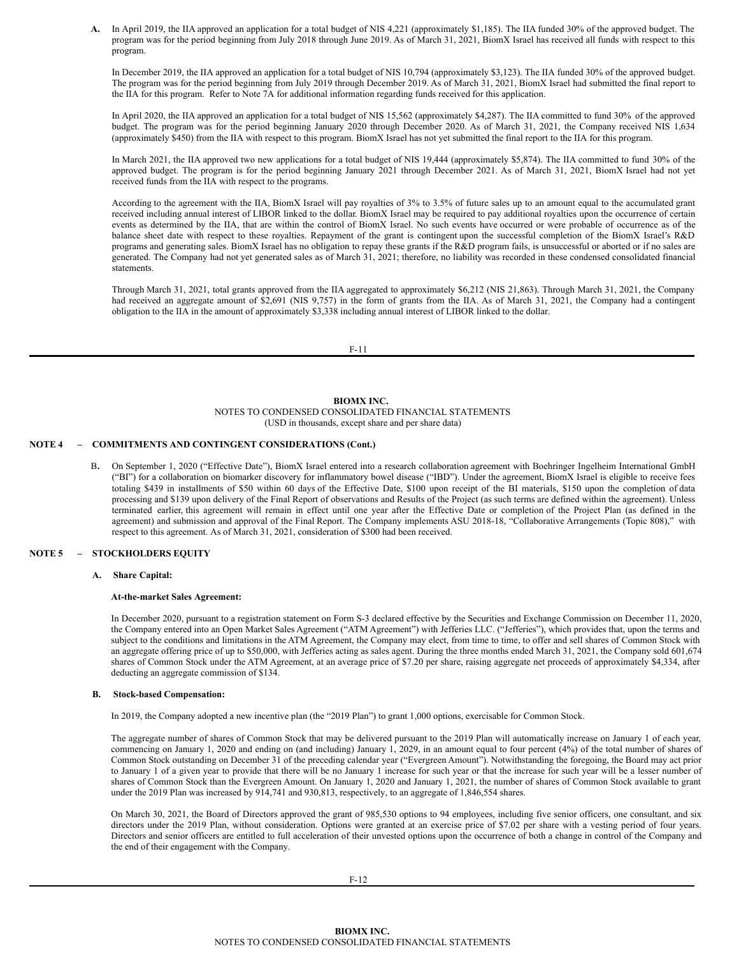**A.** In April 2019, the IIA approved an application for a total budget of NIS 4,221 (approximately \$1,185). The IIA funded 30% of the approved budget. The program was for the period beginning from July 2018 through June 2019. As of March 31, 2021, BiomX Israel has received all funds with respect to this program.

In December 2019, the IIA approved an application for a total budget of NIS 10,794 (approximately \$3,123). The IIA funded 30% of the approved budget. The program was for the period beginning from July 2019 through December 2019. As of March 31, 2021, BiomX Israel had submitted the final report to the IIA for this program. Refer to Note 7A for additional information regarding funds received for this application.

In April 2020, the IIA approved an application for a total budget of NIS 15,562 (approximately \$4,287). The IIA committed to fund 30% of the approved budget. The program was for the period beginning January 2020 through December 2020. As of March 31, 2021, the Company received NIS 1,634 (approximately \$450) from the IIA with respect to this program. BiomX Israel has not yet submitted the final report to the IIA for this program.

In March 2021, the IIA approved two new applications for a total budget of NIS 19,444 (approximately \$5,874). The IIA committed to fund 30% of the approved budget. The program is for the period beginning January 2021 through December 2021. As of March 31, 2021, BiomX Israel had not yet received funds from the IIA with respect to the programs.

According to the agreement with the IIA, BiomX Israel will pay royalties of 3% to 3.5% of future sales up to an amount equal to the accumulated grant received including annual interest of LIBOR linked to the dollar. BiomX Israel may be required to pay additional royalties upon the occurrence of certain events as determined by the IIA, that are within the control of BiomX Israel. No such events have occurred or were probable of occurrence as of the balance sheet date with respect to these royalties. Repayment of the grant is contingent upon the successful completion of the BiomX Israel's R&D programs and generating sales. BiomX Israel has no obligation to repay these grants if the R&D program fails, is unsuccessful or aborted or if no sales are generated. The Company had not yet generated sales as of March 31, 2021; therefore, no liability was recorded in these condensed consolidated financial statements.

Through March 31, 2021, total grants approved from the IIA aggregated to approximately \$6,212 (NIS 21,863). Through March 31, 2021, the Company had received an aggregate amount of \$2,691 (NIS 9,757) in the form of grants from the IIA. As of March 31, 2021, the Company had a contingent obligation to the IIA in the amount of approximately \$3,338 including annual interest of LIBOR linked to the dollar.

F-11

#### **BIOMX INC.**

NOTES TO CONDENSED CONSOLIDATED FINANCIAL STATEMENTS (USD in thousands, except share and per share data)

# **NOTE 4 – COMMITMENTS AND CONTINGENT CONSIDERATIONS (Cont.)**

B**.** On September 1, 2020 ("Effective Date"), BiomX Israel entered into a research collaboration agreement with Boehringer Ingelheim International GmbH ("BI") for a collaboration on biomarker discovery for inflammatory bowel disease ("IBD"). Under the agreement, BiomX Israel is eligible to receive fees totaling \$439 in installments of \$50 within 60 days of the Effective Date, \$100 upon receipt of the BI materials, \$150 upon the completion of data processing and \$139 upon delivery of the Final Report of observations and Results of the Project (as such terms are defined within the agreement). Unless terminated earlier, this agreement will remain in effect until one year after the Effective Date or completion of the Project Plan (as defined in the agreement) and submission and approval of the Final Report. The Company implements ASU 2018-18, "Collaborative Arrangements (Topic 808)," with respect to this agreement. As of March 31, 2021, consideration of \$300 had been received.

### **NOTE 5 – STOCKHOLDERS EQUITY**

#### **A. Share Capital:**

#### **At-the-market Sales Agreement:**

In December 2020, pursuant to a registration statement on Form S-3 declared effective by the Securities and Exchange Commission on December 11, 2020, the Company entered into an Open Market Sales Agreement ("ATM Agreement") with Jefferies LLC. ("Jefferies"), which provides that, upon the terms and subject to the conditions and limitations in the ATM Agreement, the Company may elect, from time to time, to offer and sell shares of Common Stock with an aggregate offering price of up to \$50,000, with Jefferies acting as sales agent. During the three months ended March 31, 2021, the Company sold 601,674 shares of Common Stock under the ATM Agreement, at an average price of \$7.20 per share, raising aggregate net proceeds of approximately \$4,334, after deducting an aggregate commission of \$134.

## **B. Stock-based Compensation:**

In 2019, the Company adopted a new incentive plan (the "2019 Plan") to grant 1,000 options, exercisable for Common Stock.

The aggregate number of shares of Common Stock that may be delivered pursuant to the 2019 Plan will automatically increase on January 1 of each year, commencing on January 1, 2020 and ending on (and including) January 1, 2029, in an amount equal to four percent (4%) of the total number of shares of Common Stock outstanding on December 31 of the preceding calendar year ("Evergreen Amount"). Notwithstanding the foregoing, the Board may act prior to January 1 of a given year to provide that there will be no January 1 increase for such year or that the increase for such year will be a lesser number of shares of Common Stock than the Evergreen Amount. On January 1, 2020 and January 1, 2021, the number of shares of Common Stock available to grant under the 2019 Plan was increased by 914,741 and 930,813, respectively, to an aggregate of 1,846,554 shares.

On March 30, 2021, the Board of Directors approved the grant of 985,530 options to 94 employees, including five senior officers, one consultant, and six directors under the 2019 Plan, without consideration. Options were granted at an exercise price of \$7.02 per share with a vesting period of four years. Directors and senior officers are entitled to full acceleration of their unvested options upon the occurrence of both a change in control of the Company and the end of their engagement with the Company.

F-12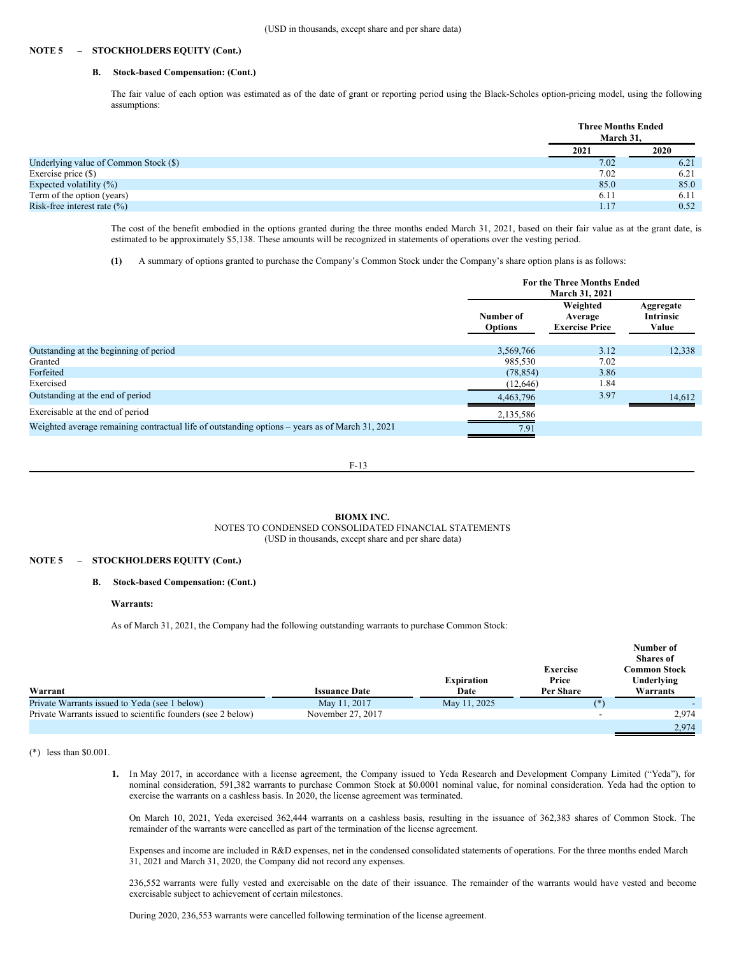#### **NOTE 5 – STOCKHOLDERS EQUITY (Cont.)**

#### **B. Stock-based Compensation: (Cont.)**

The fair value of each option was estimated as of the date of grant or reporting period using the Black-Scholes option-pricing model, using the following assumptions:

|                                       |      | <b>Three Months Ended</b><br>March 31. |  |
|---------------------------------------|------|----------------------------------------|--|
|                                       | 2021 | 2020                                   |  |
| Underlying value of Common Stock (\$) | 7.02 | 6.21                                   |  |
| Exercise price $(\$)$                 | 7.02 | 6.21                                   |  |
| Expected volatility $(\% )$           | 85.0 | 85.0                                   |  |
| Term of the option (years)            | 6.11 | 6.11                                   |  |
| Risk-free interest rate $(\% )$       | 1.17 | 0.52                                   |  |

The cost of the benefit embodied in the options granted during the three months ended March 31, 2021, based on their fair value as at the grant date, is estimated to be approximately \$5,138. These amounts will be recognized in statements of operations over the vesting period.

**(1)** A summary of options granted to purchase the Company's Common Stock under the Company's share option plans is as follows:

|                                                                                                 |                             | <b>For the Three Months Ended</b><br>March 31, 2021 |                                 |
|-------------------------------------------------------------------------------------------------|-----------------------------|-----------------------------------------------------|---------------------------------|
|                                                                                                 | Number of<br><b>Options</b> | Weighted<br>Average<br><b>Exercise Price</b>        | Aggregate<br>Intrinsic<br>Value |
| Outstanding at the beginning of period                                                          | 3,569,766                   | 3.12                                                | 12,338                          |
| Granted                                                                                         | 985,530                     | 7.02                                                |                                 |
| Forfeited                                                                                       | (78, 854)                   | 3.86                                                |                                 |
| Exercised                                                                                       | (12, 646)                   | 1.84                                                |                                 |
| Outstanding at the end of period                                                                | 4,463,796                   | 3.97                                                | 14,612                          |
| Exercisable at the end of period                                                                | 2,135,586                   |                                                     |                                 |
| Weighted average remaining contractual life of outstanding options – years as of March 31, 2021 | 7.91                        |                                                     |                                 |

#### F-13

# **BIOMX INC.** NOTES TO CONDENSED CONSOLIDATED FINANCIAL STATEMENTS

(USD in thousands, except share and per share data)

## **NOTE 5 – STOCKHOLDERS EQUITY (Cont.)**

# **B. Stock-based Compensation: (Cont.)**

#### **Warrants:**

As of March 31, 2021, the Company had the following outstanding warrants to purchase Common Stock:

|                                                              |                      |                           | <b>Exercise</b>    | Number of<br><b>Shares of</b><br>Common Stock |
|--------------------------------------------------------------|----------------------|---------------------------|--------------------|-----------------------------------------------|
| Warrant                                                      | <b>Issuance Date</b> | <b>Expiration</b><br>Date | Price<br>Per Share | Underlying<br>Warrants                        |
| Private Warrants issued to Yeda (see 1 below)                | May 11, 2017         | May 11, 2025              |                    |                                               |
| Private Warrants issued to scientific founders (see 2 below) | November 27, 2017    |                           |                    | 2,974                                         |
|                                                              |                      |                           |                    | 2.974                                         |

(\*) less than \$0.001.

**1.** In May 2017, in accordance with a license agreement, the Company issued to Yeda Research and Development Company Limited ("Yeda"), for nominal consideration, 591,382 warrants to purchase Common Stock at \$0.0001 nominal value, for nominal consideration. Yeda had the option to exercise the warrants on a cashless basis. In 2020, the license agreement was terminated.

On March 10, 2021, Yeda exercised 362,444 warrants on a cashless basis, resulting in the issuance of 362,383 shares of Common Stock. The remainder of the warrants were cancelled as part of the termination of the license agreement.

Expenses and income are included in R&D expenses, net in the condensed consolidated statements of operations. For the three months ended March 31, 2021 and March 31, 2020, the Company did not record any expenses.

236,552 warrants were fully vested and exercisable on the date of their issuance. The remainder of the warrants would have vested and become exercisable subject to achievement of certain milestones.

During 2020, 236,553 warrants were cancelled following termination of the license agreement.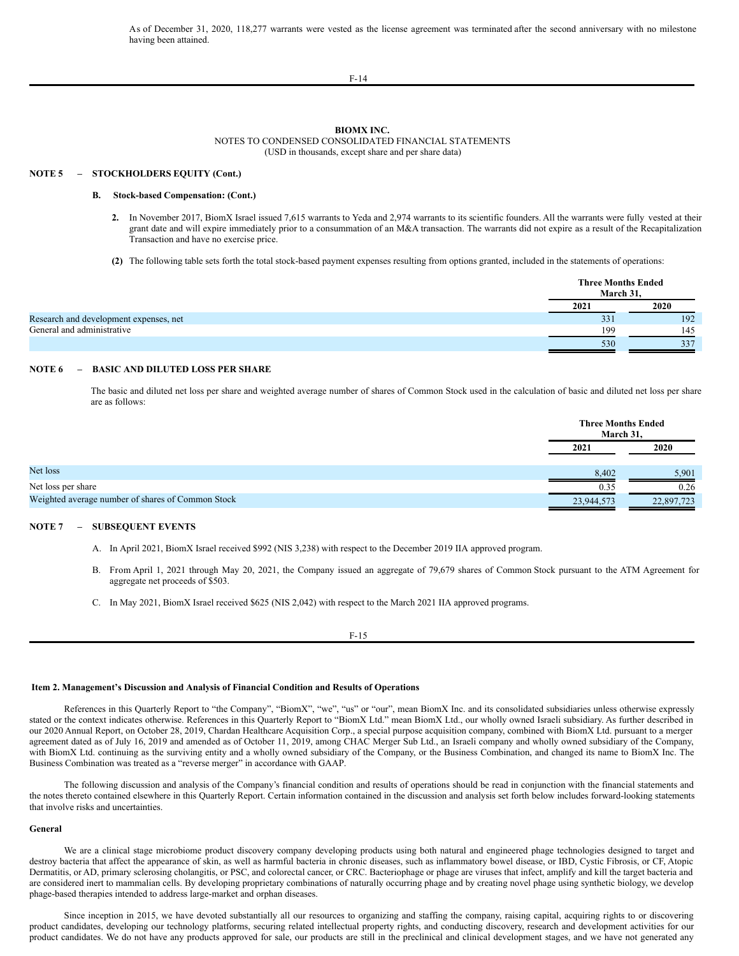As of December 31, 2020, 118,277 warrants were vested as the license agreement was terminated after the second anniversary with no milestone having been attained.

### F-14

# **BIOMX INC.**

NOTES TO CONDENSED CONSOLIDATED FINANCIAL STATEMENTS (USD in thousands, except share and per share data)

# **NOTE 5 – STOCKHOLDERS EQUITY (Cont.)**

# **B. Stock-based Compensation: (Cont.)**

- **2.** In November 2017, BiomX Israel issued 7,615 warrants to Yeda and 2,974 warrants to its scientific founders. All the warrants were fully vested at their grant date and will expire immediately prior to a consummation of an M&A transaction. The warrants did not expire as a result of the Recapitalization Transaction and have no exercise price.
- **(2)** The following table sets forth the total stock-based payment expenses resulting from options granted, included in the statements of operations:

|                                        |      | <b>Three Months Ended</b><br>March 31. |  |
|----------------------------------------|------|----------------------------------------|--|
|                                        | 2021 | 2020                                   |  |
| Research and development expenses, net | 331  | 192                                    |  |
| General and administrative             | 199  | 145                                    |  |
|                                        | 530  | 337                                    |  |

# **NOTE 6 – BASIC AND DILUTED LOSS PER SHARE**

The basic and diluted net loss per share and weighted average number of shares of Common Stock used in the calculation of basic and diluted net loss per share are as follows:

|                                                   |            | <b>Three Months Ended</b><br>March 31, |  |
|---------------------------------------------------|------------|----------------------------------------|--|
|                                                   | 2021       | 2020                                   |  |
| Net loss                                          | 8,402      | 5.901                                  |  |
| Net loss per share                                | 0.35       | 0.26                                   |  |
| Weighted average number of shares of Common Stock | 23,944,573 | 22,897,723                             |  |

# **NOTE 7 – SUBSEQUENT EVENTS**

- A. In April 2021, BiomX Israel received \$992 (NIS 3,238) with respect to the December 2019 IIA approved program.
- B. From April 1, 2021 through May 20, 2021, the Company issued an aggregate of 79,679 shares of Common Stock pursuant to the ATM Agreement for aggregate net proceeds of \$503.
- C. In May 2021, BiomX Israel received \$625 (NIS 2,042) with respect to the March 2021 IIA approved programs.

F-15

### <span id="page-10-0"></span>**Item 2. Management's Discussion and Analysis of Financial Condition and Results of Operations**

References in this Quarterly Report to "the Company", "BiomX", "we", "us" or "our", mean BiomX Inc. and its consolidated subsidiaries unless otherwise expressly stated or the context indicates otherwise. References in this Quarterly Report to "BiomX Ltd." mean BiomX Ltd., our wholly owned Israeli subsidiary. As further described in our 2020 Annual Report, on October 28, 2019, Chardan Healthcare Acquisition Corp., a special purpose acquisition company, combined with BiomX Ltd. pursuant to a merger agreement dated as of July 16, 2019 and amended as of October 11, 2019, among CHAC Merger Sub Ltd., an Israeli company and wholly owned subsidiary of the Company, with BiomX Ltd. continuing as the surviving entity and a wholly owned subsidiary of the Company, or the Business Combination, and changed its name to BiomX Inc. The Business Combination was treated as a "reverse merger" in accordance with GAAP.

The following discussion and analysis of the Company's financial condition and results of operations should be read in conjunction with the financial statements and the notes thereto contained elsewhere in this Quarterly Report. Certain information contained in the discussion and analysis set forth below includes forward-looking statements that involve risks and uncertainties.

# **General**

We are a clinical stage microbiome product discovery company developing products using both natural and engineered phage technologies designed to target and destroy bacteria that affect the appearance of skin, as well as harmful bacteria in chronic diseases, such as inflammatory bowel disease, or IBD, Cystic Fibrosis, or CF, Atopic Dermatitis, or AD, primary sclerosing cholangitis, or PSC, and colorectal cancer, or CRC. Bacteriophage or phage are viruses that infect, amplify and kill the target bacteria and are considered inert to mammalian cells. By developing proprietary combinations of naturally occurring phage and by creating novel phage using synthetic biology, we develop phage-based therapies intended to address large-market and orphan diseases.

Since inception in 2015, we have devoted substantially all our resources to organizing and staffing the company, raising capital, acquiring rights to or discovering product candidates, developing our technology platforms, securing related intellectual property rights, and conducting discovery, research and development activities for our product candidates. We do not have any products approved for sale, our products are still in the preclinical and clinical development stages, and we have not generated any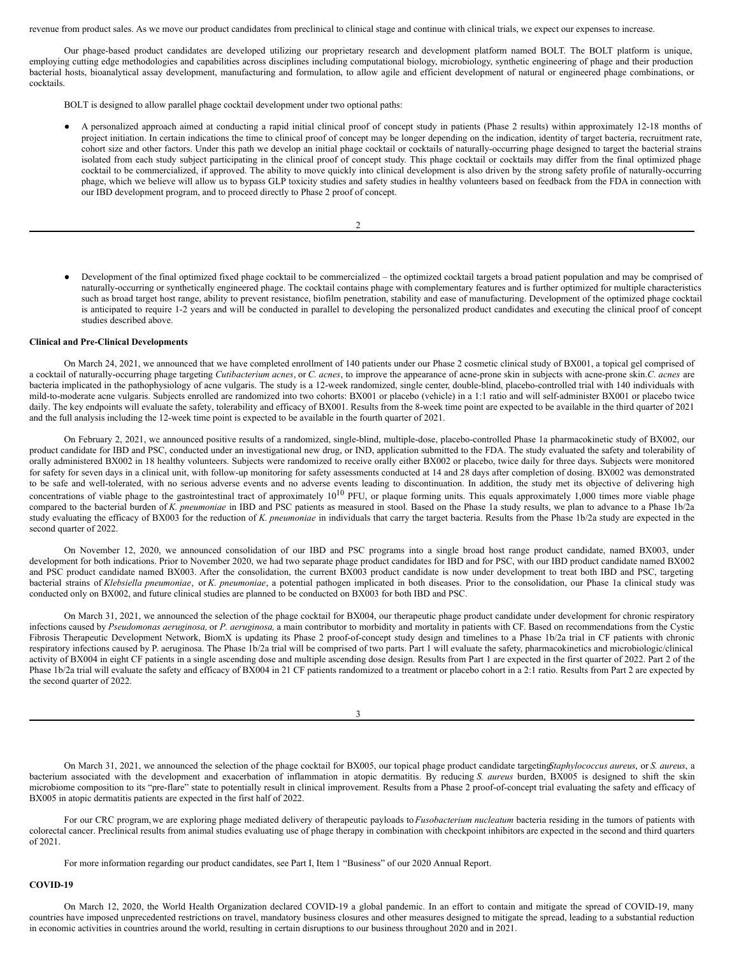revenue from product sales. As we move our product candidates from preclinical to clinical stage and continue with clinical trials, we expect our expenses to increase.

Our phage-based product candidates are developed utilizing our proprietary research and development platform named BOLT. The BOLT platform is unique, employing cutting edge methodologies and capabilities across disciplines including computational biology, microbiology, synthetic engineering of phage and their production bacterial hosts, bioanalytical assay development, manufacturing and formulation, to allow agile and efficient development of natural or engineered phage combinations, or cocktails.

BOLT is designed to allow parallel phage cocktail development under two optional paths:

● A personalized approach aimed at conducting a rapid initial clinical proof of concept study in patients (Phase 2 results) within approximately 12-18 months of project initiation. In certain indications the time to clinical proof of concept may be longer depending on the indication, identity of target bacteria, recruitment rate, cohort size and other factors. Under this path we develop an initial phage cocktail or cocktails of naturally-occurring phage designed to target the bacterial strains isolated from each study subject participating in the clinical proof of concept study. This phage cocktail or cocktails may differ from the final optimized phage cocktail to be commercialized, if approved. The ability to move quickly into clinical development is also driven by the strong safety profile of naturally-occurring phage, which we believe will allow us to bypass GLP toxicity studies and safety studies in healthy volunteers based on feedback from the FDA in connection with our IBD development program, and to proceed directly to Phase 2 proof of concept.

| ł |  |  |
|---|--|--|
|   |  |  |
|   |  |  |
|   |  |  |

Development of the final optimized fixed phage cocktail to be commercialized – the optimized cocktail targets a broad patient population and may be comprised of naturally-occurring or synthetically engineered phage. The cocktail contains phage with complementary features and is further optimized for multiple characteristics such as broad target host range, ability to prevent resistance, biofilm penetration, stability and ease of manufacturing. Development of the optimized phage cocktail is anticipated to require 1-2 years and will be conducted in parallel to developing the personalized product candidates and executing the clinical proof of concept studies described above.

#### **Clinical and Pre-Clinical Developments**

On March 24, 2021, we announced that we have completed enrollment of 140 patients under our Phase 2 cosmetic clinical study of BX001, a topical gel comprised of a cocktail of naturally-occurring phage targeting *Cutibacterium acnes*, or *C. acnes*, to improve the appearance of acne-prone skin in subjects with acne-prone skin.*C. acnes* are bacteria implicated in the pathophysiology of acne vulgaris. The study is a 12-week randomized, single center, double-blind, placebo-controlled trial with 140 individuals with mild-to-moderate acne vulgaris. Subjects enrolled are randomized into two cohorts: BX001 or placebo (vehicle) in a 1:1 ratio and will self-administer BX001 or placebo twice daily. The key endpoints will evaluate the safety, tolerability and efficacy of BX001. Results from the 8-week time point are expected to be available in the third quarter of 2021 and the full analysis including the 12-week time point is expected to be available in the fourth quarter of 2021.

On February 2, 2021, we announced positive results of a randomized, single-blind, multiple-dose, placebo-controlled Phase 1a pharmacokinetic study of BX002, our product candidate for IBD and PSC, conducted under an investigational new drug, or IND, application submitted to the FDA. The study evaluated the safety and tolerability of orally administered BX002 in 18 healthy volunteers. Subjects were randomized to receive orally either BX002 or placebo, twice daily for three days. Subjects were monitored for safety for seven days in a clinical unit, with follow-up monitoring for safety assessments conducted at 14 and 28 days after completion of dosing. BX002 was demonstrated to be safe and well-tolerated, with no serious adverse events and no adverse events leading to discontinuation. In addition, the study met its objective of delivering high concentrations of viable phage to the gastrointestinal tract of approximately 10<sup>10</sup> PFU, or plaque forming units. This equals approximately 1,000 times more viable phage compared to the bacterial burden of *K. pneumoniae* in IBD and PSC patients as measured in stool. Based on the Phase 1a study results, we plan to advance to a Phase 1b/2a study evaluating the efficacy of BX003 for the reduction of *K. pneumoniae* in individuals that carry the target bacteria. Results from the Phase 1b/2a study are expected in the second quarter of 2022.

On November 12, 2020, we announced consolidation of our IBD and PSC programs into a single broad host range product candidate, named BX003, under development for both indications. Prior to November 2020, we had two separate phage product candidates for IBD and for PSC, with our IBD product candidate named BX002 and PSC product candidate named BX003. After the consolidation, the current BX003 product candidate is now under development to treat both IBD and PSC, targeting bacterial strains of *Klebsiella pneumoniae*, or *K. pneumoniae*, a potential pathogen implicated in both diseases. Prior to the consolidation, our Phase 1a clinical study was conducted only on BX002, and future clinical studies are planned to be conducted on BX003 for both IBD and PSC.

On March 31, 2021, we announced the selection of the phage cocktail for BX004, our therapeutic phage product candidate under development for chronic respiratory infections caused by *Pseudomonas aeruginosa,* or *P. aeruginosa,* a main contributor to morbidity and mortality in patients with CF. Based on recommendations from the Cystic Fibrosis Therapeutic Development Network, BiomX is updating its Phase 2 proof-of-concept study design and timelines to a Phase 1b/2a trial in CF patients with chronic respiratory infections caused by P. aeruginosa. The Phase 1b/2a trial will be comprised of two parts. Part 1 will evaluate the safety, pharmacokinetics and microbiologic/clinical activity of BX004 in eight CF patients in a single ascending dose and multiple ascending dose design. Results from Part 1 are expected in the first quarter of 2022. Part 2 of the Phase 1b/2a trial will evaluate the safety and efficacy of BX004 in 21 CF patients randomized to a treatment or placebo cohort in a 2:1 ratio. Results from Part 2 are expected by the second quarter of 2022.

| ۰,<br>I<br>÷<br>۰. |  |
|--------------------|--|

On March 31, 2021, we announced the selection of the phage cocktail for BX005, our topical phage product candidate targeting*Staphylococcus aureus*, or *S. aureus*, a bacterium associated with the development and exacerbation of inflammation in atopic dermatitis. By reducing *S. aureus* burden, BX005 is designed to shift the skin microbiome composition to its "pre-flare" state to potentially result in clinical improvement. Results from a Phase 2 proof-of-concept trial evaluating the safety and efficacy of BX005 in atopic dermatitis patients are expected in the first half of 2022.

For our CRC program, we are exploring phage mediated delivery of therapeutic payloads to *Fusobacterium nucleatum* bacteria residing in the tumors of patients with colorectal cancer. Preclinical results from animal studies evaluating use of phage therapy in combination with checkpoint inhibitors are expected in the second and third quarters of 2021.

For more information regarding our product candidates, see Part I, Item 1 "Business" of our 2020 Annual Report.

#### **COVID-19**

On March 12, 2020, the World Health Organization declared COVID-19 a global pandemic. In an effort to contain and mitigate the spread of COVID-19, many countries have imposed unprecedented restrictions on travel, mandatory business closures and other measures designed to mitigate the spread, leading to a substantial reduction in economic activities in countries around the world, resulting in certain disruptions to our business throughout 2020 and in 2021.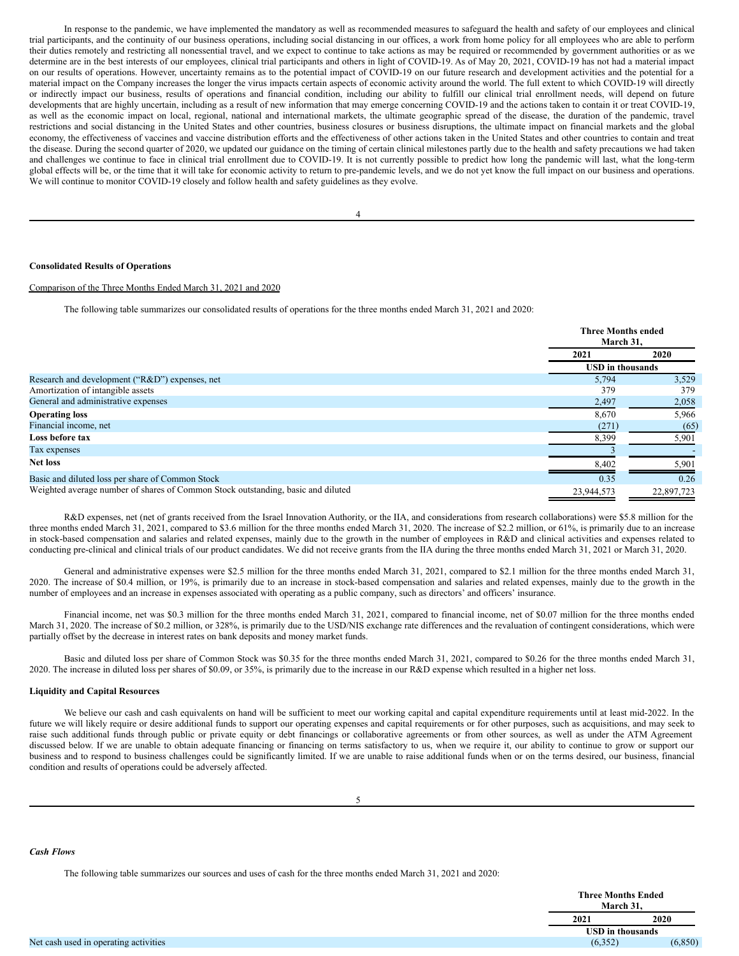In response to the pandemic, we have implemented the mandatory as well as recommended measures to safeguard the health and safety of our employees and clinical trial participants, and the continuity of our business operations, including social distancing in our offices, a work from home policy for all employees who are able to perform their duties remotely and restricting all nonessential travel, and we expect to continue to take actions as may be required or recommended by government authorities or as we determine are in the best interests of our employees, clinical trial participants and others in light of COVID-19. As of May 20, 2021, COVID-19 has not had a material impact on our results of operations. However, uncertainty remains as to the potential impact of COVID-19 on our future research and development activities and the potential for a material impact on the Company increases the longer the virus impacts certain aspects of economic activity around the world. The full extent to which COVID-19 will directly or indirectly impact our business, results of operations and financial condition, including our ability to fulfill our clinical trial enrollment needs, will depend on future developments that are highly uncertain, including as a result of new information that may emerge concerning COVID-19 and the actions taken to contain it or treat COVID-19, as well as the economic impact on local, regional, national and international markets, the ultimate geographic spread of the disease, the duration of the pandemic, travel restrictions and social distancing in the United States and other countries, business closures or business disruptions, the ultimate impact on financial markets and the global economy, the effectiveness of vaccines and vaccine distribution efforts and the effectiveness of other actions taken in the United States and other countries to contain and treat the disease. During the second quarter of 2020, we updated our guidance on the timing of certain clinical milestones partly due to the health and safety precautions we had taken and challenges we continue to face in clinical trial enrollment due to COVID-19. It is not currently possible to predict how long the pandemic will last, what the long-term global effects will be, or the time that it will take for economic activity to return to pre-pandemic levels, and we do not yet know the full impact on our business and operations. We will continue to monitor COVID-19 closely and follow health and safety guidelines as they evolve.

4

## **Consolidated Results of Operations**

Comparison of the Three Months Ended March 31, 2021 and 2020

The following table summarizes our consolidated results of operations for the three months ended March 31, 2021 and 2020:

|                                                                                  |                         | <b>Three Months ended</b><br>March 31, |  |
|----------------------------------------------------------------------------------|-------------------------|----------------------------------------|--|
|                                                                                  | 2021                    | 2020                                   |  |
|                                                                                  | <b>USD</b> in thousands |                                        |  |
| Research and development ("R&D") expenses, net                                   | 5.794                   | 3,529                                  |  |
| Amortization of intangible assets                                                | 379                     | 379                                    |  |
| General and administrative expenses                                              | 2,497                   | 2,058                                  |  |
| <b>Operating loss</b>                                                            | 8,670                   | 5,966                                  |  |
| Financial income, net                                                            | (271)                   | (65)                                   |  |
| Loss before tax                                                                  | 8,399                   | 5,901                                  |  |
| Tax expenses                                                                     |                         |                                        |  |
| <b>Net loss</b>                                                                  | 8,402                   | 5.901                                  |  |
| Basic and diluted loss per share of Common Stock                                 | 0.35                    | 0.26                                   |  |
| Weighted average number of shares of Common Stock outstanding, basic and diluted | 23,944,573              | 22,897,723                             |  |

R&D expenses, net (net of grants received from the Israel Innovation Authority, or the IIA, and considerations from research collaborations) were \$5.8 million for the three months ended March 31, 2021, compared to \$3.6 million for the three months ended March 31, 2020. The increase of \$2.2 million, or 61%, is primarily due to an increase in stock-based compensation and salaries and related expenses, mainly due to the growth in the number of employees in R&D and clinical activities and expenses related to conducting pre-clinical and clinical trials of our product candidates. We did not receive grants from the IIA during the three months ended March 31, 2021 or March 31, 2020.

General and administrative expenses were \$2.5 million for the three months ended March 31, 2021, compared to \$2.1 million for the three months ended March 31, 2020. The increase of \$0.4 million, or 19%, is primarily due to an increase in stock-based compensation and salaries and related expenses, mainly due to the growth in the number of employees and an increase in expenses associated with operating as a public company, such as directors' and officers' insurance.

Financial income, net was \$0.3 million for the three months ended March 31, 2021, compared to financial income, net of \$0.07 million for the three months ended March 31, 2020. The increase of \$0.2 million, or 328%, is primarily due to the USD/NIS exchange rate differences and the revaluation of contingent considerations, which were partially offset by the decrease in interest rates on bank deposits and money market funds.

Basic and diluted loss per share of Common Stock was \$0.35 for the three months ended March 31, 2021, compared to \$0.26 for the three months ended March 31, 2020. The increase in diluted loss per shares of \$0.09, or 35%, is primarily due to the increase in our R&D expense which resulted in a higher net loss.

# **Liquidity and Capital Resources**

We believe our cash and cash equivalents on hand will be sufficient to meet our working capital and capital expenditure requirements until at least mid-2022. In the future we will likely require or desire additional funds to support our operating expenses and capital requirements or for other purposes, such as acquisitions, and may seek to raise such additional funds through public or private equity or debt financings or collaborative agreements or from other sources, as well as under the ATM Agreement discussed below. If we are unable to obtain adequate financing or financing on terms satisfactory to us, when we require it, our ability to continue to grow or support our business and to respond to business challenges could be significantly limited. If we are unable to raise additional funds when or on the terms desired, our business, financial condition and results of operations could be adversely affected.

5

## *Cash Flows*

The following table summarizes our sources and uses of cash for the three months ended March 31, 2021 and 2020:

| <b>Three Months Ended</b> |  |  |
|---------------------------|--|--|
| March 31,                 |  |  |
| 2020                      |  |  |
| <b>USD</b> in thousands   |  |  |
| (6, 850)                  |  |  |
|                           |  |  |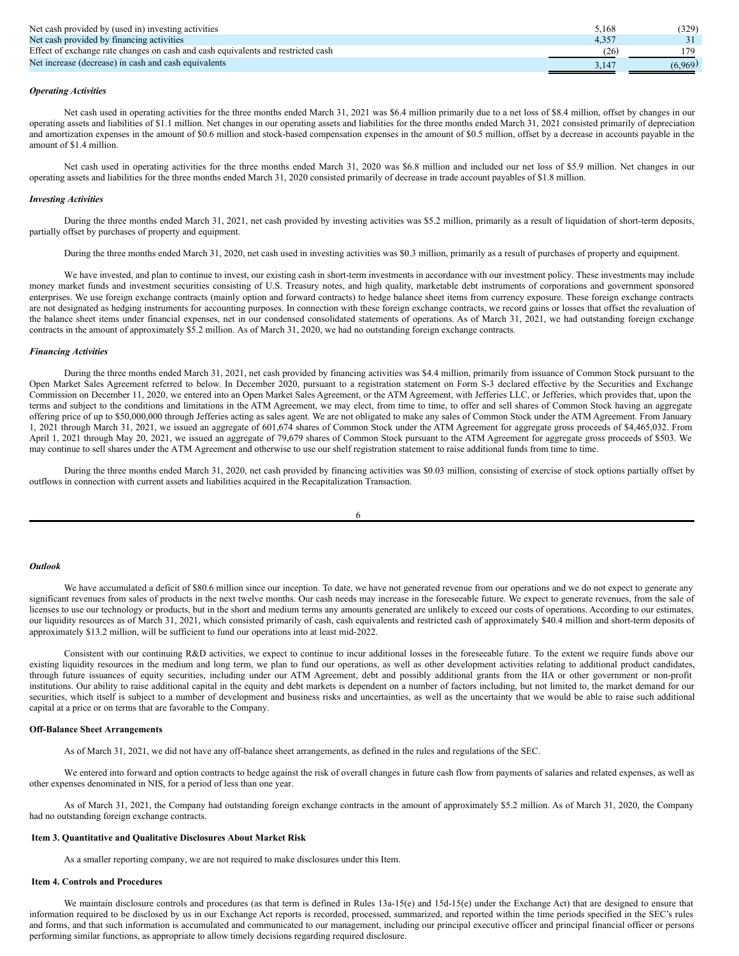| Net cash provided by (used in) investing activities                              | 5.168 | 329)    |
|----------------------------------------------------------------------------------|-------|---------|
| Net cash provided by financing activities                                        | 4.357 |         |
| Effect of exchange rate changes on cash and cash equivalents and restricted cash | (26)  |         |
| Net increase (decrease) in cash and cash equivalents                             | 3.147 | (6.969) |

## *Operating Activities*

Net cash used in operating activities for the three months ended March 31, 2021 was \$6.4 million primarily due to a net loss of \$8.4 million, offset by changes in our operating assets and liabilities of \$1.1 million. Net changes in our operating assets and liabilities for the three months ended March 31, 2021 consisted primarily of depreciation and amortization expenses in the amount of \$0.6 million and stock-based compensation expenses in the amount of \$0.5 million, offset by a decrease in accounts payable in the amount of \$1.4 million.

Net cash used in operating activities for the three months ended March 31, 2020 was \$6.8 million and included our net loss of \$5.9 million. Net changes in our operating assets and liabilities for the three months ended March 31, 2020 consisted primarily of decrease in trade account payables of \$1.8 million.

#### *Investing Activities*

During the three months ended March 31, 2021, net cash provided by investing activities was \$5.2 million, primarily as a result of liquidation of short-term deposits, partially offset by purchases of property and equipment.

During the three months ended March 31, 2020, net cash used in investing activities was \$0.3 million, primarily as a result of purchases of property and equipment.

We have invested, and plan to continue to invest, our existing cash in short-term investments in accordance with our investment policy. These investments may include money market funds and investment securities consisting of U.S. Treasury notes, and high quality, marketable debt instruments of corporations and government sponsored enterprises. We use foreign exchange contracts (mainly option and forward contracts) to hedge balance sheet items from currency exposure. These foreign exchange contracts are not designated as hedging instruments for accounting purposes. In connection with these foreign exchange contracts, we record gains or losses that offset the revaluation of the balance sheet items under financial expenses, net in our condensed consolidated statements of operations. As of March 31, 2021, we had outstanding foreign exchange contracts in the amount of approximately \$5.2 million. As of March 31, 2020, we had no outstanding foreign exchange contracts.

#### *Financing Activities*

During the three months ended March 31, 2021, net cash provided by financing activities was \$4.4 million, primarily from issuance of Common Stock pursuant to the Open Market Sales Agreement referred to below. In December 2020, pursuant to a registration statement on Form S-3 declared effective by the Securities and Exchange Commission on December 11, 2020, we entered into an Open Market Sales Agreement, or the ATM Agreement, with Jefferies LLC, or Jefferies, which provides that, upon the terms and subject to the conditions and limitations in the ATM Agreement, we may elect, from time to time, to offer and sell shares of Common Stock having an aggregate offering price of up to \$50,000,000 through Jefferies acting as sales agent. We are not obligated to make any sales of Common Stock under the ATM Agreement. From January 1, 2021 through March 31, 2021, we issued an aggregate of 601,674 shares of Common Stock under the ATM Agreement for aggregate gross proceeds of \$4,465,032. From April 1, 2021 through May 20, 2021, we issued an aggregate of 79,679 shares of Common Stock pursuant to the ATM Agreement for aggregate gross proceeds of \$503. We may continue to sell shares under the ATM Agreement and otherwise to use our shelf registration statement to raise additional funds from time to time.

During the three months ended March 31, 2020, net cash provided by financing activities was \$0.03 million, consisting of exercise of stock options partially offset by outflows in connection with current assets and liabilities acquired in the Recapitalization Transaction.

| ۰.            |  |
|---------------|--|
|               |  |
| ۰,<br>٦<br>۰, |  |

#### *Outlook*

We have accumulated a deficit of \$80.6 million since our inception. To date, we have not generated revenue from our operations and we do not expect to generate any significant revenues from sales of products in the next twelve months. Our cash needs may increase in the foreseeable future. We expect to generate revenues, from the sale of licenses to use our technology or products, but in the short and medium terms any amounts generated are unlikely to exceed our costs of operations. According to our estimates, our liquidity resources as of March 31, 2021, which consisted primarily of cash, cash equivalents and restricted cash of approximately \$40.4 million and short-term deposits of approximately \$13.2 million, will be sufficient to fund our operations into at least mid-2022.

Consistent with our continuing R&D activities, we expect to continue to incur additional losses in the foreseeable future. To the extent we require funds above our existing liquidity resources in the medium and long term, we plan to fund our operations, as well as other development activities relating to additional product candidates, through future issuances of equity securities, including under our ATM Agreement, debt and possibly additional grants from the IIA or other government or non-profit institutions. Our ability to raise additional capital in the equity and debt markets is dependent on a number of factors including, but not limited to, the market demand for our securities, which itself is subject to a number of development and business risks and uncertainties, as well as the uncertainty that we would be able to raise such additional capital at a price or on terms that are favorable to the Company.

#### **Off-Balance Sheet Arrangements**

As of March 31, 2021, we did not have any off-balance sheet arrangements, as defined in the rules and regulations of the SEC.

We entered into forward and option contracts to hedge against the risk of overall changes in future cash flow from payments of salaries and related expenses, as well as other expenses denominated in NIS, for a period of less than one year.

As of March 31, 2021, the Company had outstanding foreign exchange contracts in the amount of approximately \$5.2 million. As of March 31, 2020, the Company had no outstanding foreign exchange contracts.

## <span id="page-13-0"></span>**Item 3. Quantitative and Qualitative Disclosures About Market Risk**

As a smaller reporting company, we are not required to make disclosures under this Item.

#### <span id="page-13-1"></span>**Item 4. Controls and Procedures**

We maintain disclosure controls and procedures (as that term is defined in Rules 13a-15(e) and 15d-15(e) under the Exchange Act) that are designed to ensure that information required to be disclosed by us in our Exchange Act reports is recorded, processed, summarized, and reported within the time periods specified in the SEC's rules and forms, and that such information is accumulated and communicated to our management, including our principal executive officer and principal financial officer or persons performing similar functions, as appropriate to allow timely decisions regarding required disclosure.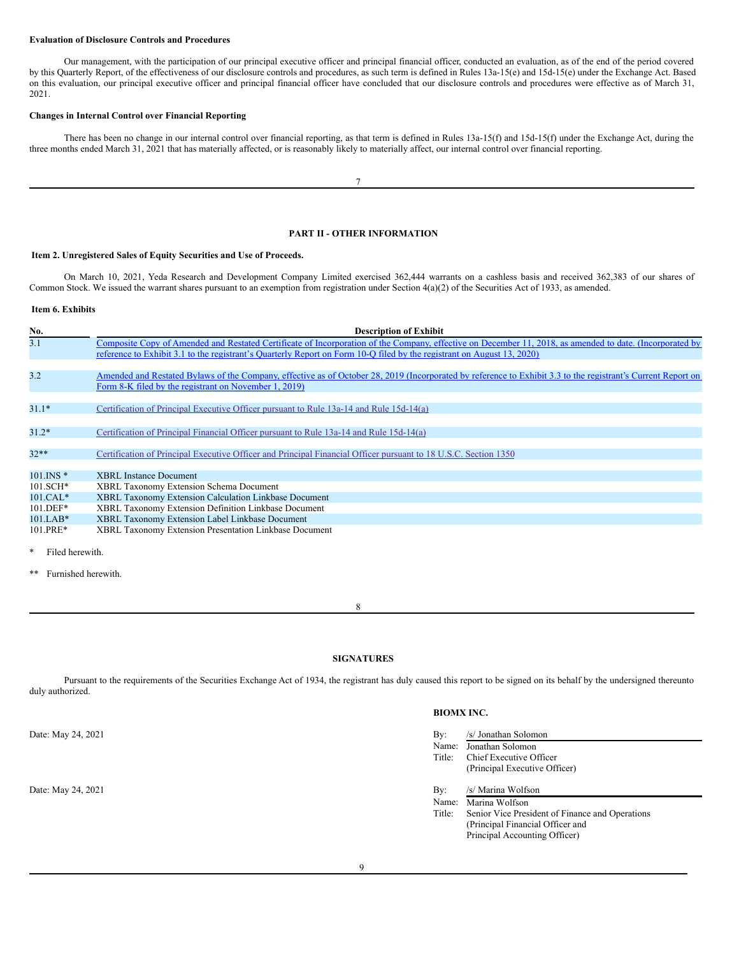## **Evaluation of Disclosure Controls and Procedures**

Our management, with the participation of our principal executive officer and principal financial officer, conducted an evaluation, as of the end of the period covered by this Quarterly Report, of the effectiveness of our disclosure controls and procedures, as such term is defined in Rules 13a-15(e) and 15d-15(e) under the Exchange Act. Based on this evaluation, our principal executive officer and principal financial officer have concluded that our disclosure controls and procedures were effective as of March 31, 2021.

#### **Changes in Internal Control over Financial Reporting**

There has been no change in our internal control over financial reporting, as that term is defined in Rules 13a-15(f) and 15d-15(f) under the Exchange Act, during the three months ended March 31, 2021 that has materially affected, or is reasonably likely to materially affect, our internal control over financial reporting.



#### <span id="page-14-1"></span><span id="page-14-0"></span>**Item 2. Unregistered Sales of Equity Securities and Use of Proceeds.**

On March 10, 2021, Yeda Research and Development Company Limited exercised 362,444 warrants on a cashless basis and received 362,383 of our shares of Common Stock. We issued the warrant shares pursuant to an exemption from registration under Section 4(a)(2) of the Securities Act of 1933, as amended.

# <span id="page-14-2"></span>**Item 6. Exhibits**

| No.             | <b>Description of Exhibit</b>                                                                                                                                |
|-----------------|--------------------------------------------------------------------------------------------------------------------------------------------------------------|
| 3.1             | Composite Copy of Amended and Restated Certificate of Incorporation of the Company, effective on December 11, 2018, as amended to date. (Incorporated by     |
|                 | reference to Exhibit 3.1 to the registrant's Quarterly Report on Form 10-Q filed by the registrant on August 13, 2020)                                       |
|                 |                                                                                                                                                              |
| 3.2             | Amended and Restated Bylaws of the Company, effective as of October 28, 2019 (Incorporated by reference to Exhibit 3.3 to the registrant's Current Report on |
|                 | Form 8-K filed by the registrant on November 1, 2019)                                                                                                        |
|                 |                                                                                                                                                              |
| $31.1*$         | Certification of Principal Executive Officer pursuant to Rule 13a-14 and Rule 15d-14(a)                                                                      |
|                 |                                                                                                                                                              |
| $31.2*$         | Certification of Principal Financial Officer pursuant to Rule 13a-14 and Rule 15d-14(a)                                                                      |
|                 |                                                                                                                                                              |
| $32**$          | Certification of Principal Executive Officer and Principal Financial Officer pursuant to 18 U.S.C. Section 1350                                              |
|                 |                                                                                                                                                              |
| $101$ . INS $*$ | <b>XBRL</b> Instance Document                                                                                                                                |
| $101.SCH*$      | <b>XBRL Taxonomy Extension Schema Document</b>                                                                                                               |
| $101.CAL*$      | XBRL Taxonomy Extension Calculation Linkbase Document                                                                                                        |
| $101.DEF*$      | XBRL Taxonomy Extension Definition Linkbase Document                                                                                                         |
| $101.LAB*$      | XBRL Taxonomy Extension Label Linkbase Document                                                                                                              |
| $101.PRE*$      | XBRL Taxonomy Extension Presentation Linkbase Document                                                                                                       |
|                 |                                                                                                                                                              |

- Filed herewith.
- Furnished herewith.

8

#### <span id="page-14-3"></span>**SIGNATURES**

Pursuant to the requirements of the Securities Exchange Act of 1934, the registrant has duly caused this report to be signed on its behalf by the undersigned thereunto duly authorized.

**BIOMX INC.**

| Date: May 24, 2021 | By:    | /s/ Jonathan Solomon                            |
|--------------------|--------|-------------------------------------------------|
|                    | Name:  | Jonathan Solomon                                |
|                    | Title: | Chief Executive Officer                         |
|                    |        | (Principal Executive Officer)                   |
| Date: May 24, 2021 | By:    | /s/ Marina Wolfson                              |
|                    | Name:  | Marina Wolfson                                  |
|                    | Title: | Senior Vice President of Finance and Operations |
|                    |        | (Principal Financial Officer and                |
|                    |        | Principal Accounting Officer)                   |
|                    |        |                                                 |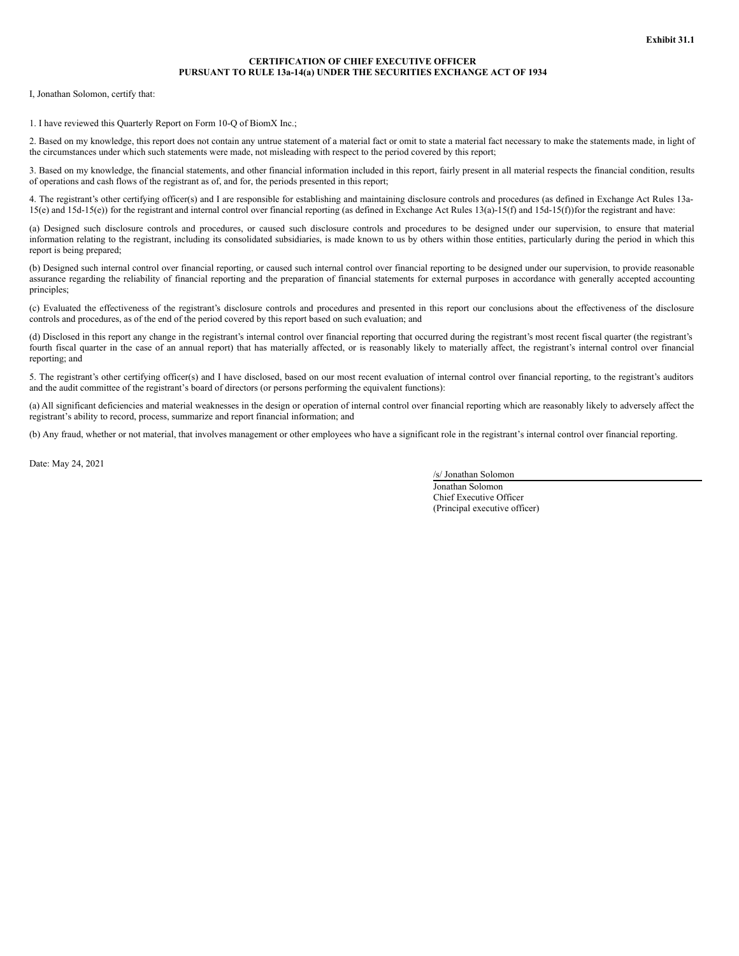## **CERTIFICATION OF CHIEF EXECUTIVE OFFICER PURSUANT TO RULE 13a-14(a) UNDER THE SECURITIES EXCHANGE ACT OF 1934**

<span id="page-15-0"></span>I, Jonathan Solomon, certify that:

1. I have reviewed this Quarterly Report on Form 10-Q of BiomX Inc.;

2. Based on my knowledge, this report does not contain any untrue statement of a material fact or omit to state a material fact necessary to make the statements made, in light of the circumstances under which such statements were made, not misleading with respect to the period covered by this report;

3. Based on my knowledge, the financial statements, and other financial information included in this report, fairly present in all material respects the financial condition, results of operations and cash flows of the registrant as of, and for, the periods presented in this report;

4. The registrant's other certifying officer(s) and I are responsible for establishing and maintaining disclosure controls and procedures (as defined in Exchange Act Rules 13a-15(e) and 15d-15(e)) for the registrant and internal control over financial reporting (as defined in Exchange Act Rules 13(a)-15(f) and 15d-15(f))for the registrant and have:

(a) Designed such disclosure controls and procedures, or caused such disclosure controls and procedures to be designed under our supervision, to ensure that material information relating to the registrant, including its consolidated subsidiaries, is made known to us by others within those entities, particularly during the period in which this report is being prepared;

(b) Designed such internal control over financial reporting, or caused such internal control over financial reporting to be designed under our supervision, to provide reasonable assurance regarding the reliability of financial reporting and the preparation of financial statements for external purposes in accordance with generally accepted accounting principles;

(c) Evaluated the effectiveness of the registrant's disclosure controls and procedures and presented in this report our conclusions about the effectiveness of the disclosure controls and procedures, as of the end of the period covered by this report based on such evaluation; and

(d) Disclosed in this report any change in the registrant's internal control over financial reporting that occurred during the registrant's most recent fiscal quarter (the registrant's fourth fiscal quarter in the case of an annual report) that has materially affected, or is reasonably likely to materially affect, the registrant's internal control over financial reporting; and

5. The registrant's other certifying officer(s) and I have disclosed, based on our most recent evaluation of internal control over financial reporting, to the registrant's auditors and the audit committee of the registrant's board of directors (or persons performing the equivalent functions):

(a) All significant deficiencies and material weaknesses in the design or operation of internal control over financial reporting which are reasonably likely to adversely affect the registrant's ability to record, process, summarize and report financial information; and

(b) Any fraud, whether or not material, that involves management or other employees who have a significant role in the registrant's internal control over financial reporting.

Date: May 24, 2021

/s/ Jonathan Solomon

Jonathan Solomon Chief Executive Officer (Principal executive officer)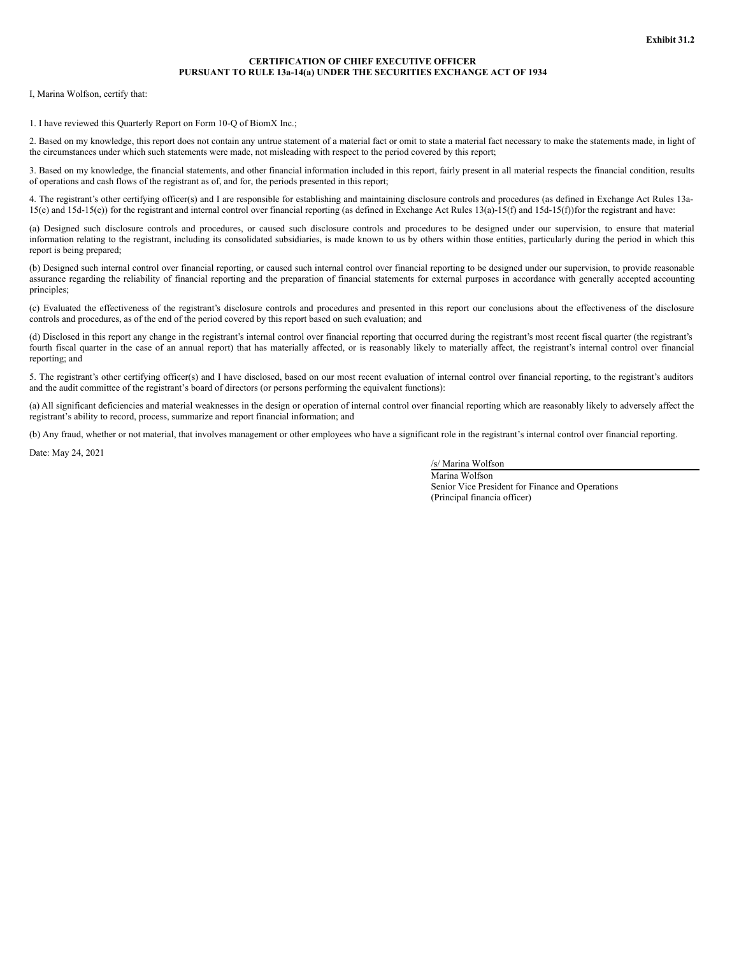## **CERTIFICATION OF CHIEF EXECUTIVE OFFICER PURSUANT TO RULE 13a-14(a) UNDER THE SECURITIES EXCHANGE ACT OF 1934**

<span id="page-16-0"></span>I, Marina Wolfson, certify that:

1. I have reviewed this Quarterly Report on Form 10-Q of BiomX Inc.;

2. Based on my knowledge, this report does not contain any untrue statement of a material fact or omit to state a material fact necessary to make the statements made, in light of the circumstances under which such statements were made, not misleading with respect to the period covered by this report;

3. Based on my knowledge, the financial statements, and other financial information included in this report, fairly present in all material respects the financial condition, results of operations and cash flows of the registrant as of, and for, the periods presented in this report;

4. The registrant's other certifying officer(s) and I are responsible for establishing and maintaining disclosure controls and procedures (as defined in Exchange Act Rules 13a-15(e) and 15d-15(e)) for the registrant and internal control over financial reporting (as defined in Exchange Act Rules 13(a)-15(f) and 15d-15(f))for the registrant and have:

(a) Designed such disclosure controls and procedures, or caused such disclosure controls and procedures to be designed under our supervision, to ensure that material information relating to the registrant, including its consolidated subsidiaries, is made known to us by others within those entities, particularly during the period in which this report is being prepared;

(b) Designed such internal control over financial reporting, or caused such internal control over financial reporting to be designed under our supervision, to provide reasonable assurance regarding the reliability of financial reporting and the preparation of financial statements for external purposes in accordance with generally accepted accounting principles;

(c) Evaluated the effectiveness of the registrant's disclosure controls and procedures and presented in this report our conclusions about the effectiveness of the disclosure controls and procedures, as of the end of the period covered by this report based on such evaluation; and

(d) Disclosed in this report any change in the registrant's internal control over financial reporting that occurred during the registrant's most recent fiscal quarter (the registrant's fourth fiscal quarter in the case of an annual report) that has materially affected, or is reasonably likely to materially affect, the registrant's internal control over financial reporting; and

5. The registrant's other certifying officer(s) and I have disclosed, based on our most recent evaluation of internal control over financial reporting, to the registrant's auditors and the audit committee of the registrant's board of directors (or persons performing the equivalent functions):

(a) All significant deficiencies and material weaknesses in the design or operation of internal control over financial reporting which are reasonably likely to adversely affect the registrant's ability to record, process, summarize and report financial information; and

(b) Any fraud, whether or not material, that involves management or other employees who have a significant role in the registrant's internal control over financial reporting.

Date: May 24, 2021

/s/ Marina Wolfson

Marina Wolfson Senior Vice President for Finance and Operations (Principal financia officer)